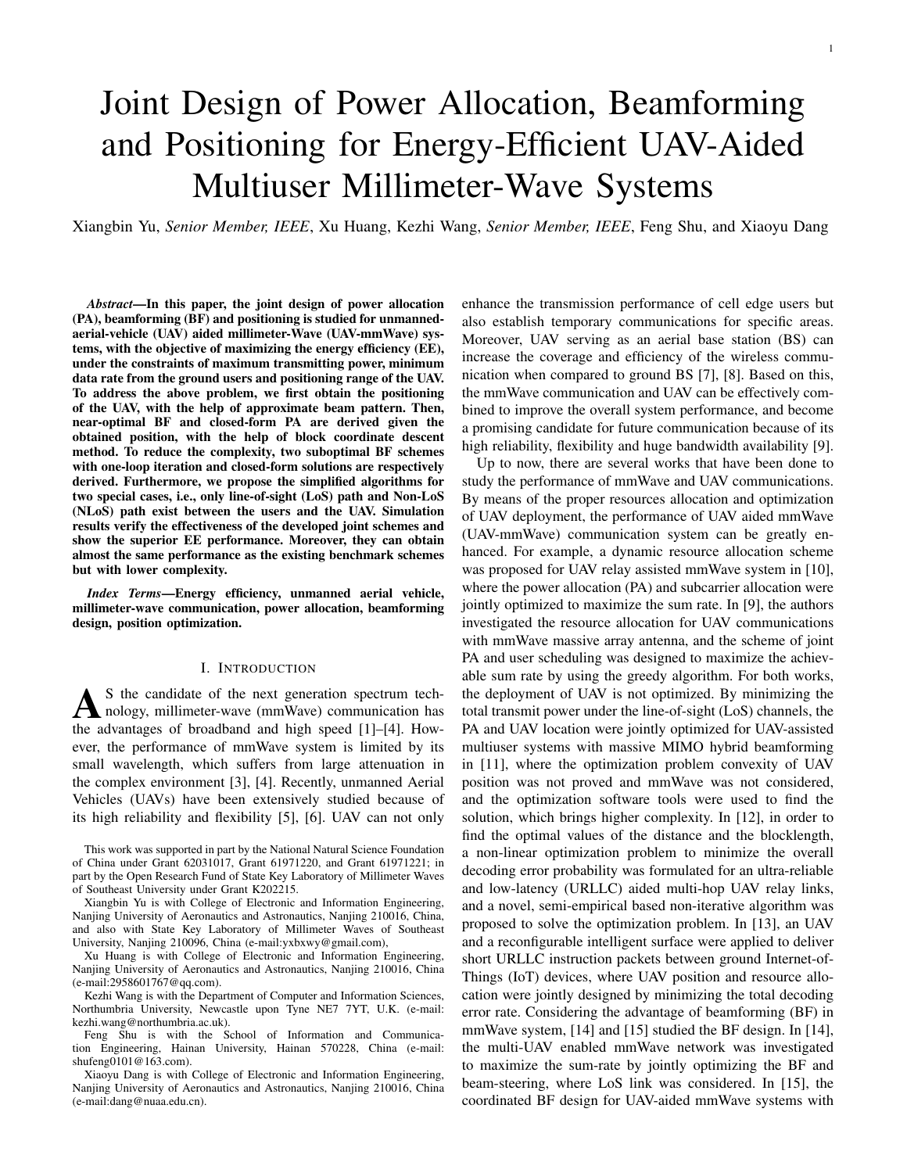# Joint Design of Power Allocation, Beamforming and Positioning for Energy-Efficient UAV-Aided Multiuser Millimeter-Wave Systems

Xiangbin Yu, *Senior Member, IEEE*, Xu Huang, Kezhi Wang, *Senior Member, IEEE*, Feng Shu, and Xiaoyu Dang

*Abstract*—In this paper, the joint design of power allocation (PA), beamforming (BF) and positioning is studied for unmannedaerial-vehicle (UAV) aided millimeter-Wave (UAV-mmWave) systems, with the objective of maximizing the energy efficiency (EE), under the constraints of maximum transmitting power, minimum data rate from the ground users and positioning range of the UAV. To address the above problem, we first obtain the positioning of the UAV, with the help of approximate beam pattern. Then, near-optimal BF and closed-form PA are derived given the obtained position, with the help of block coordinate descent method. To reduce the complexity, two suboptimal BF schemes with one-loop iteration and closed-form solutions are respectively derived. Furthermore, we propose the simplified algorithms for two special cases, i.e., only line-of-sight (LoS) path and Non-LoS (NLoS) path exist between the users and the UAV. Simulation results verify the effectiveness of the developed joint schemes and show the superior EE performance. Moreover, they can obtain almost the same performance as the existing benchmark schemes but with lower complexity.

*Index Terms*—Energy efficiency, unmanned aerial vehicle, millimeter-wave communication, power allocation, beamforming design, position optimization.

## I. INTRODUCTION

A S the candidate of the next generation spectrum technology, millimeter-wave (mmWave) communication has the advantages of broadband and high speed [1]–[4]. How-S the candidate of the next generation spectrum technology, millimeter-wave (mmWave) communication has ever, the performance of mmWave system is limited by its small wavelength, which suffers from large attenuation in the complex environment [3], [4]. Recently, unmanned Aerial Vehicles (UAVs) have been extensively studied because of its high reliability and flexibility [5], [6]. UAV can not only

Kezhi Wang is with the Department of Computer and Information Sciences, Northumbria University, Newcastle upon Tyne NE7 7YT, U.K. (e-mail: kezhi.wang@northumbria.ac.uk).

enhance the transmission performance of cell edge users but also establish temporary communications for specific areas. Moreover, UAV serving as an aerial base station (BS) can increase the coverage and efficiency of the wireless communication when compared to ground BS [7], [8]. Based on this, the mmWave communication and UAV can be effectively combined to improve the overall system performance, and become a promising candidate for future communication because of its high reliability, flexibility and huge bandwidth availability [9].

Up to now, there are several works that have been done to study the performance of mmWave and UAV communications. By means of the proper resources allocation and optimization of UAV deployment, the performance of UAV aided mmWave (UAV-mmWave) communication system can be greatly enhanced. For example, a dynamic resource allocation scheme was proposed for UAV relay assisted mmWave system in [10], where the power allocation (PA) and subcarrier allocation were jointly optimized to maximize the sum rate. In [9], the authors investigated the resource allocation for UAV communications with mmWave massive array antenna, and the scheme of joint PA and user scheduling was designed to maximize the achievable sum rate by using the greedy algorithm. For both works, the deployment of UAV is not optimized. By minimizing the total transmit power under the line-of-sight (LoS) channels, the PA and UAV location were jointly optimized for UAV-assisted multiuser systems with massive MIMO hybrid beamforming in [11], where the optimization problem convexity of UAV position was not proved and mmWave was not considered, and the optimization software tools were used to find the solution, which brings higher complexity. In [12], in order to find the optimal values of the distance and the blocklength, a non-linear optimization problem to minimize the overall decoding error probability was formulated for an ultra-reliable and low-latency (URLLC) aided multi-hop UAV relay links, and a novel, semi-empirical based non-iterative algorithm was proposed to solve the optimization problem. In [13], an UAV and a reconfigurable intelligent surface were applied to deliver short URLLC instruction packets between ground Internet-of-Things (IoT) devices, where UAV position and resource allocation were jointly designed by minimizing the total decoding error rate. Considering the advantage of beamforming (BF) in mmWave system, [14] and [15] studied the BF design. In [14], the multi-UAV enabled mmWave network was investigated to maximize the sum-rate by jointly optimizing the BF and beam-steering, where LoS link was considered. In [15], the coordinated BF design for UAV-aided mmWave systems with

This work was supported in part by the National Natural Science Foundation of China under Grant 62031017, Grant 61971220, and Grant 61971221; in part by the Open Research Fund of State Key Laboratory of Millimeter Waves of Southeast University under Grant K202215.

Xiangbin Yu is with College of Electronic and Information Engineering, Nanjing University of Aeronautics and Astronautics, Nanjing 210016, China, and also with State Key Laboratory of Millimeter Waves of Southeast University, Nanjing 210096, China (e-mail:yxbxwy@gmail.com),

Xu Huang is with College of Electronic and Information Engineering, Nanjing University of Aeronautics and Astronautics, Nanjing 210016, China (e-mail:2958601767@qq.com).

Feng Shu is with the School of Information and Communication Engineering, Hainan University, Hainan 570228, China (e-mail: shufeng0101@163.com).

Xiaoyu Dang is with College of Electronic and Information Engineering, Nanjing University of Aeronautics and Astronautics, Nanjing 210016, China (e-mail:dang@nuaa.edu.cn).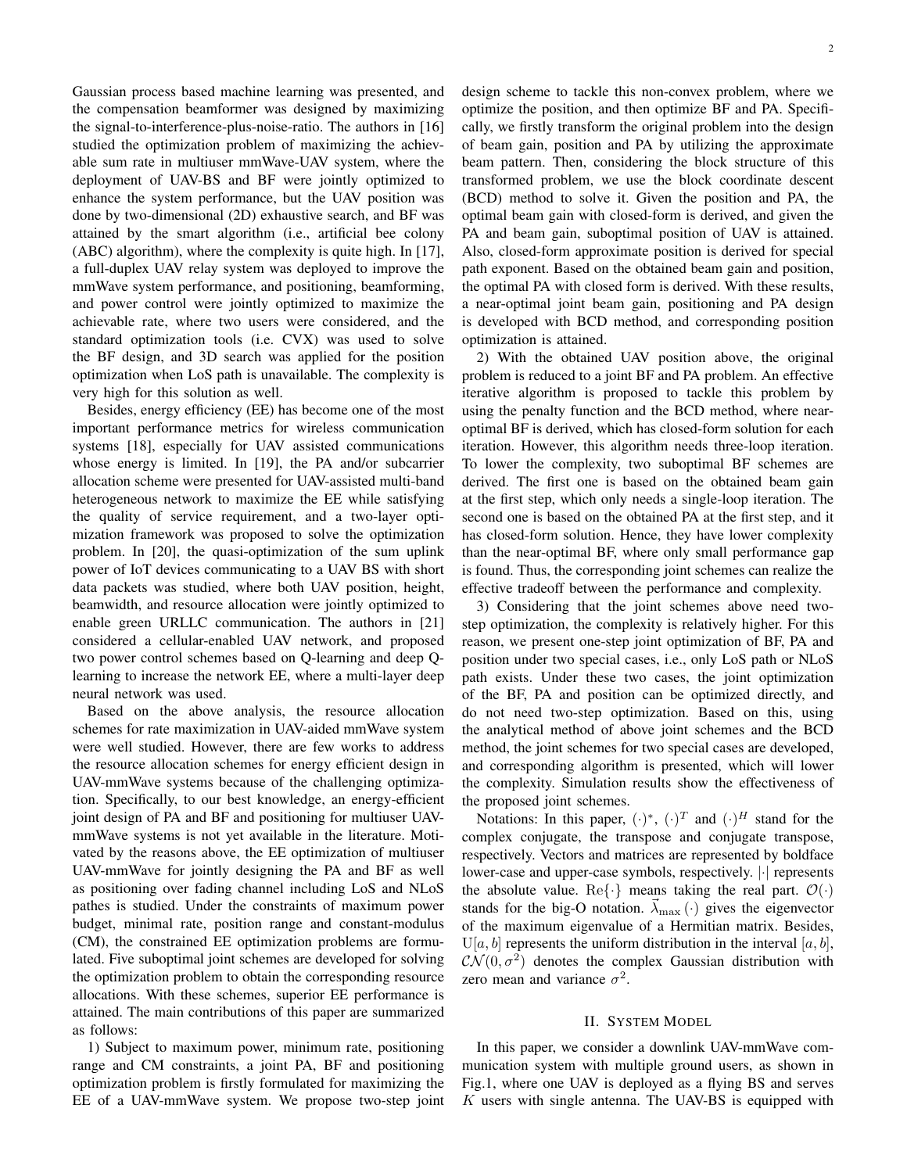Gaussian process based machine learning was presented, and the compensation beamformer was designed by maximizing the signal-to-interference-plus-noise-ratio. The authors in [16] studied the optimization problem of maximizing the achievable sum rate in multiuser mmWave-UAV system, where the deployment of UAV-BS and BF were jointly optimized to enhance the system performance, but the UAV position was done by two-dimensional (2D) exhaustive search, and BF was attained by the smart algorithm (i.e., artificial bee colony (ABC) algorithm), where the complexity is quite high. In [17], a full-duplex UAV relay system was deployed to improve the mmWave system performance, and positioning, beamforming, and power control were jointly optimized to maximize the achievable rate, where two users were considered, and the standard optimization tools (i.e. CVX) was used to solve the BF design, and 3D search was applied for the position optimization when LoS path is unavailable. The complexity is very high for this solution as well.

Besides, energy efficiency (EE) has become one of the most important performance metrics for wireless communication systems [18], especially for UAV assisted communications whose energy is limited. In [19], the PA and/or subcarrier allocation scheme were presented for UAV-assisted multi-band heterogeneous network to maximize the EE while satisfying the quality of service requirement, and a two-layer optimization framework was proposed to solve the optimization problem. In [20], the quasi-optimization of the sum uplink power of IoT devices communicating to a UAV BS with short data packets was studied, where both UAV position, height, beamwidth, and resource allocation were jointly optimized to enable green URLLC communication. The authors in [21] considered a cellular-enabled UAV network, and proposed two power control schemes based on Q-learning and deep Qlearning to increase the network EE, where a multi-layer deep neural network was used.

Based on the above analysis, the resource allocation schemes for rate maximization in UAV-aided mmWave system were well studied. However, there are few works to address the resource allocation schemes for energy efficient design in UAV-mmWave systems because of the challenging optimization. Specifically, to our best knowledge, an energy-efficient joint design of PA and BF and positioning for multiuser UAVmmWave systems is not yet available in the literature. Motivated by the reasons above, the EE optimization of multiuser UAV-mmWave for jointly designing the PA and BF as well as positioning over fading channel including LoS and NLoS pathes is studied. Under the constraints of maximum power budget, minimal rate, position range and constant-modulus (CM), the constrained EE optimization problems are formulated. Five suboptimal joint schemes are developed for solving the optimization problem to obtain the corresponding resource allocations. With these schemes, superior EE performance is attained. The main contributions of this paper are summarized as follows:

1) Subject to maximum power, minimum rate, positioning range and CM constraints, a joint PA, BF and positioning optimization problem is firstly formulated for maximizing the EE of a UAV-mmWave system. We propose two-step joint design scheme to tackle this non-convex problem, where we optimize the position, and then optimize BF and PA. Specifically, we firstly transform the original problem into the design of beam gain, position and PA by utilizing the approximate beam pattern. Then, considering the block structure of this transformed problem, we use the block coordinate descent (BCD) method to solve it. Given the position and PA, the optimal beam gain with closed-form is derived, and given the PA and beam gain, suboptimal position of UAV is attained. Also, closed-form approximate position is derived for special path exponent. Based on the obtained beam gain and position, the optimal PA with closed form is derived. With these results, a near-optimal joint beam gain, positioning and PA design is developed with BCD method, and corresponding position optimization is attained.

2) With the obtained UAV position above, the original problem is reduced to a joint BF and PA problem. An effective iterative algorithm is proposed to tackle this problem by using the penalty function and the BCD method, where nearoptimal BF is derived, which has closed-form solution for each iteration. However, this algorithm needs three-loop iteration. To lower the complexity, two suboptimal BF schemes are derived. The first one is based on the obtained beam gain at the first step, which only needs a single-loop iteration. The second one is based on the obtained PA at the first step, and it has closed-form solution. Hence, they have lower complexity than the near-optimal BF, where only small performance gap is found. Thus, the corresponding joint schemes can realize the effective tradeoff between the performance and complexity.

3) Considering that the joint schemes above need twostep optimization, the complexity is relatively higher. For this reason, we present one-step joint optimization of BF, PA and position under two special cases, i.e., only LoS path or NLoS path exists. Under these two cases, the joint optimization of the BF, PA and position can be optimized directly, and do not need two-step optimization. Based on this, using the analytical method of above joint schemes and the BCD method, the joint schemes for two special cases are developed, and corresponding algorithm is presented, which will lower the complexity. Simulation results show the effectiveness of the proposed joint schemes.

Notations: In this paper,  $(\cdot)^{*}$ ,  $(\cdot)^{T}$  and  $(\cdot)^{H}$  stand for the complex conjugate, the transpose and conjugate transpose, respectively. Vectors and matrices are represented by boldface lower-case and upper-case symbols, respectively. *|·|* represents the absolute value. Re $\{\cdot\}$  means taking the real part.  $\mathcal{O}(\cdot)$ stands for the big-O notation.  $\lambda_{\text{max}}(\cdot)$  gives the eigenvector of the maximum eigenvalue of a Hermitian matrix. Besides,  $U[a, b]$  represents the uniform distribution in the interval  $[a, b]$ ,  $\mathcal{CN}(0, \sigma^2)$  denotes the complex Gaussian distribution with zero mean and variance  $\sigma^2$ .

## II. SYSTEM MODEL

In this paper, we consider a downlink UAV-mmWave communication system with multiple ground users, as shown in Fig.1, where one UAV is deployed as a flying BS and serves *K* users with single antenna. The UAV-BS is equipped with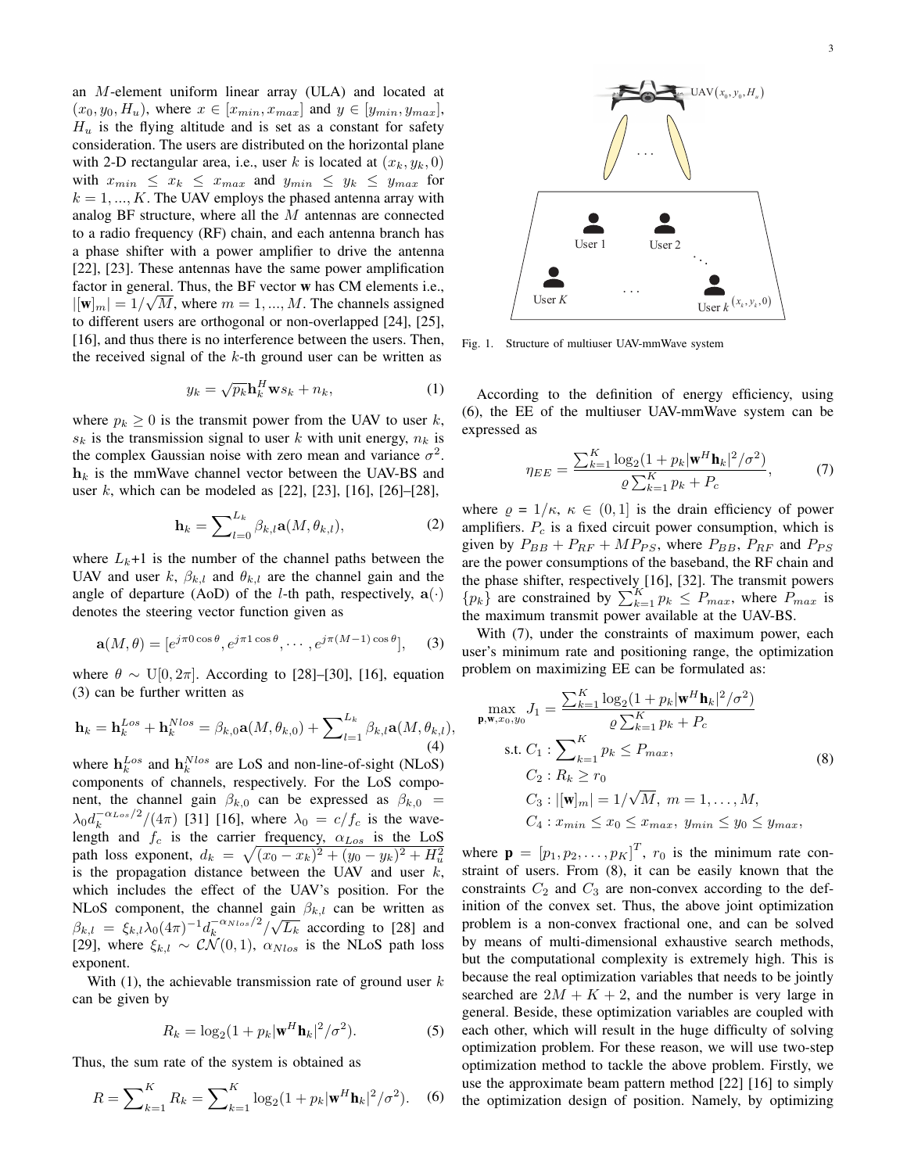an *M*-element uniform linear array (ULA) and located at  $(x_0, y_0, H_u)$ , where  $x \in [x_{min}, x_{max}]$  and  $y \in [y_{min}, y_{max}]$ ,  $H_u$  is the flying altitude and is set as a constant for safety consideration. The users are distributed on the horizontal plane with 2-D rectangular area, i.e., user *k* is located at  $(x_k, y_k, 0)$ with  $x_{min} \leq x_k \leq x_{max}$  and  $y_{min} \leq y_k \leq y_{max}$  for  $k = 1, \ldots, K$ . The UAV employs the phased antenna array with analog BF structure, where all the *M* antennas are connected to a radio frequency (RF) chain, and each antenna branch has a phase shifter with a power amplifier to drive the antenna [22], [23]. These antennas have the same power amplification factor in general. Thus, the BF vector w has CM elements i.e., *√*  $|[\mathbf{w}]_m| = 1/\sqrt{M}$ , where  $m = 1, ..., M$ . The channels assigned to different users are orthogonal or non-overlapped [24], [25], [16], and thus there is no interference between the users. Then, the received signal of the *k*-th ground user can be written as

$$
y_k = \sqrt{p_k} \mathbf{h}_k^H \mathbf{w} s_k + n_k, \qquad (1)
$$

where  $p_k \geq 0$  is the transmit power from the UAV to user *k*,  $s_k$  is the transmission signal to user *k* with unit energy,  $n_k$  is the complex Gaussian noise with zero mean and variance  $\sigma^2$ .  $h_k$  is the mmWave channel vector between the UAV-BS and user *k*, which can be modeled as [22], [23], [16], [26]–[28],

$$
\mathbf{h}_k = \sum_{l=0}^{L_k} \beta_{k,l} \mathbf{a}(M, \theta_{k,l}), \tag{2}
$$

where  $L_k+1$  is the number of the channel paths between the UAV and user  $k$ ,  $\beta_{k,l}$  and  $\theta_{k,l}$  are the channel gain and the angle of departure (AoD) of the *l*-th path, respectively,  $\mathbf{a}(\cdot)$ denotes the steering vector function given as

$$
\mathbf{a}(M,\theta) = [e^{j\pi 0\cos\theta}, e^{j\pi 1\cos\theta}, \cdots, e^{j\pi(M-1)\cos\theta}], \quad (3)
$$

where  $\theta \sim U[0, 2\pi]$ . According to [28]–[30], [16], equation (3) can be further written as

$$
\mathbf{h}_{k} = \mathbf{h}_{k}^{Los} + \mathbf{h}_{k}^{Nlos} = \beta_{k,0} \mathbf{a}(M, \theta_{k,0}) + \sum_{l=1}^{L_k} \beta_{k,l} \mathbf{a}(M, \theta_{k,l}),
$$
\n(4)

where  $\mathbf{h}_k^{Los}$  and  $\mathbf{h}_k^{Nlos}$  are LoS and non-line-of-sight (NLoS) components of channels, respectively. For the LoS component, the channel gain  $\beta_{k,0}$  can be expressed as  $\beta_{k,0}$  =  $\lambda_0 d_k^{-\alpha_{Los}/2}/(4\pi)$  [31] [16], where  $\lambda_0 = c/f_c$  is the wavelength and *f<sup>c</sup>* is the carrier frequency, *αLos* is the LoS path loss exponent,  $d_k = \sqrt{(x_0 - x_k)^2 + (y_0 - y_k)^2 + H_u^2}$ is the propagation distance between the UAV and user *k*, which includes the effect of the UAV's position. For the NLoS component, the channel gain  $\beta_{k,l}$  can be written as *β*<sub>*k,l*</sub></sub> =  $\xi_{k,l}\lambda_0(4\pi)^{-1}d_k^{-\alpha_{Nlos}/2}/\sqrt{L_k}$  according to [28] and [29], where  $\xi_{k,l} \sim \mathcal{CN}(0,1)$ ,  $\alpha_{Nlos}$  is the NLoS path loss exponent.

With (1), the achievable transmission rate of ground user *k* can be given by

$$
R_k = \log_2(1 + p_k |\mathbf{w}^H \mathbf{h}_k|^2 / \sigma^2). \tag{5}
$$

Thus, the sum rate of the system is obtained as

$$
R = \sum_{k=1}^{K} R_k = \sum_{k=1}^{K} \log_2(1 + p_k |\mathbf{w}^H \mathbf{h}_k|^2 / \sigma^2).
$$
 (6)



Fig. 1. Structure of multiuser UAV-mmWave system

According to the definition of energy efficiency, using (6), the EE of the multiuser UAV-mmWave system can be expressed as

$$
\eta_{EE} = \frac{\sum_{k=1}^{K} \log_2(1 + p_k | \mathbf{w}^H \mathbf{h}_k|^2 / \sigma^2)}{\varrho \sum_{k=1}^{K} p_k + P_c},\tag{7}
$$

where  $\rho = 1/\kappa$ ,  $\kappa \in (0,1]$  is the drain efficiency of power amplifiers. *P<sup>c</sup>* is a fixed circuit power consumption, which is given by  $P_{BB} + P_{RF} + MP_{PS}$ , where  $P_{BB}$ ,  $P_{RF}$  and  $P_{PS}$ are the power consumptions of the baseband, the RF chain and the phase shifter, respectively  $[16]$ , [32]. The transmit powers  ${p_k}$  are constrained by  $\sum_{k=1}^{K} p_k \leq P_{max}$ , where  $P_{max}$  is the maximum transmit power available at the UAV-BS.

With (7), under the constraints of maximum power, each user's minimum rate and positioning range, the optimization problem on maximizing EE can be formulated as:

$$
\max_{\mathbf{p}, \mathbf{w}, x_0, y_0} J_1 = \frac{\sum_{k=1}^K \log_2(1 + p_k |\mathbf{w}^H \mathbf{h}_k|^2 / \sigma^2)}{\varrho \sum_{k=1}^K p_k + P_c}
$$
\n
$$
\text{s.t. } C_1: \sum_{k=1}^K p_k \le P_{max},
$$
\n
$$
C_2: R_k \ge r_0
$$
\n
$$
C_3: |[\mathbf{w}]_m| = 1/\sqrt{M}, m = 1, ..., M,
$$
\n
$$
C_4: x_{min} \le x_0 \le x_{max}, y_{min} \le y_0 \le y_{max},
$$
\n(8)

where  $\mathbf{p} = [p_1, p_2, \dots, p_K]^T$ ,  $r_0$  is the minimum rate constraint of users. From (8), it can be easily known that the constraints  $C_2$  and  $C_3$  are non-convex according to the definition of the convex set. Thus, the above joint optimization problem is a non-convex fractional one, and can be solved by means of multi-dimensional exhaustive search methods, but the computational complexity is extremely high. This is because the real optimization variables that needs to be jointly searched are  $2M + K + 2$ , and the number is very large in general. Beside, these optimization variables are coupled with each other, which will result in the huge difficulty of solving optimization problem. For these reason, we will use two-step optimization method to tackle the above problem. Firstly, we use the approximate beam pattern method [22] [16] to simply the optimization design of position. Namely, by optimizing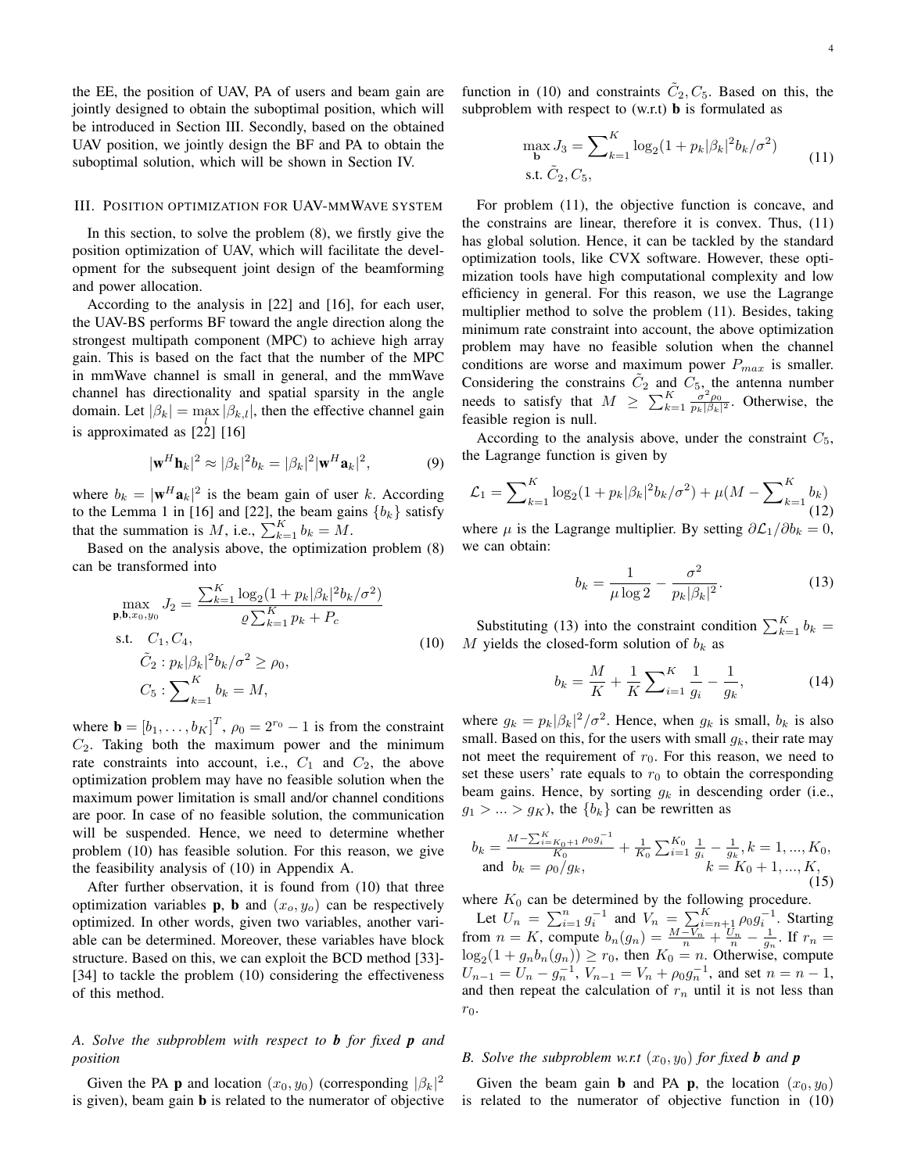the EE, the position of UAV, PA of users and beam gain are jointly designed to obtain the suboptimal position, which will be introduced in Section III. Secondly, based on the obtained UAV position, we jointly design the BF and PA to obtain the suboptimal solution, which will be shown in Section IV.

#### III. POSITION OPTIMIZATION FOR UAV-MMWAVE SYSTEM

In this section, to solve the problem (8), we firstly give the position optimization of UAV, which will facilitate the development for the subsequent joint design of the beamforming and power allocation.

According to the analysis in [22] and [16], for each user, the UAV-BS performs BF toward the angle direction along the strongest multipath component (MPC) to achieve high array gain. This is based on the fact that the number of the MPC in mmWave channel is small in general, and the mmWave channel has directionality and spatial sparsity in the angle domain. Let  $|\beta_k| = \max |\beta_{k,l}|$ , then the effective channel gain is approximated as  $\begin{bmatrix} 2 & 2 \\ 2 & 2 \end{bmatrix}$  [16]

$$
|\mathbf{w}^H \mathbf{h}_k|^2 \approx |\beta_k|^2 b_k = |\beta_k|^2 |\mathbf{w}^H \mathbf{a}_k|^2, \tag{9}
$$

where  $b_k = |\mathbf{w}^H \mathbf{a}_k|^2$  is the beam gain of user *k*. According to the Lemma 1 in [16] and [22], the beam gains  ${b_k}$  satisfy that the summation is *M*, i.e.,  $\sum_{k=1}^{K} b_k = M$ .

Based on the analysis above, the optimization problem (8) can be transformed into

$$
\max_{\mathbf{p}, \mathbf{b}, x_0, y_0} J_2 = \frac{\sum_{k=1}^K \log_2(1 + p_k|\beta_k|^2 b_k/\sigma^2)}{\varrho \sum_{k=1}^K p_k + P_c}
$$
\ns.t.  $C_1, C_4$ ,  
\n $\tilde{C}_2 : p_k |\beta_k|^2 b_k/\sigma^2 \ge \rho_0$ ,  
\n $C_5 : \sum_{k=1}^K b_k = M$ , (10)

where  $\mathbf{b} = \begin{bmatrix} b_1, \dots, b_K \end{bmatrix}^T$ ,  $\rho_0 = 2^{r_0} - 1$  is from the constraint *C*2. Taking both the maximum power and the minimum rate constraints into account, i.e.,  $C_1$  and  $C_2$ , the above optimization problem may have no feasible solution when the maximum power limitation is small and/or channel conditions are poor. In case of no feasible solution, the communication will be suspended. Hence, we need to determine whether problem (10) has feasible solution. For this reason, we give the feasibility analysis of (10) in Appendix A.

After further observation, it is found from (10) that three optimization variables **p**, **b** and  $(x_o, y_o)$  can be respectively optimized. In other words, given two variables, another variable can be determined. Moreover, these variables have block structure. Based on this, we can exploit the BCD method [33]- [34] to tackle the problem (10) considering the effectiveness of this method.

# *A. Solve the subproblem with respect to b for fixed p and position*

Given the PA **p** and location  $(x_0, y_0)$  (corresponding  $|\beta_k|^2$ is given), beam gain b is related to the numerator of objective

function in (10) and constraints  $\tilde{C}_2, C_5$ . Based on this, the subproblem with respect to  $(w.r.t)$  **b** is formulated as

$$
\max_{\mathbf{b}} J_3 = \sum_{k=1}^{K} \log_2(1 + p_k |\beta_k|^2 b_k / \sigma^2)
$$
 (11)

For problem (11), the objective function is concave, and the constrains are linear, therefore it is convex. Thus, (11) has global solution. Hence, it can be tackled by the standard optimization tools, like CVX software. However, these optimization tools have high computational complexity and low efficiency in general. For this reason, we use the Lagrange multiplier method to solve the problem (11). Besides, taking minimum rate constraint into account, the above optimization problem may have no feasible solution when the channel conditions are worse and maximum power *Pmax* is smaller. Considering the constrains  $\tilde{C}_2$  and  $\tilde{C}_5$ , the antenna number needs to satisfy that  $M \ge \sum_{k=1}^{K} \frac{\sigma^2 \rho_0}{p_k |\beta_k|^2}$ . Otherwise, the feasible region is null.

According to the analysis above, under the constraint  $C_5$ , the Lagrange function is given by

$$
\mathcal{L}_1 = \sum_{k=1}^{K} \log_2(1 + p_k|\beta_k|^2 b_k/\sigma^2) + \mu(M - \sum_{k=1}^{K} b_k)
$$
\n(12)

where  $\mu$  is the Lagrange multiplier. By setting  $\partial \mathcal{L}_1 / \partial b_k = 0$ , we can obtain:

$$
b_k = \frac{1}{\mu \log 2} - \frac{\sigma^2}{p_k |\beta_k|^2}.
$$
 (13)

Substituting (13) into the constraint condition  $\sum_{k=1}^{K} b_k =$ *M* yields the closed-form solution of  $b_k$  as

$$
b_k = \frac{M}{K} + \frac{1}{K} \sum_{i=1}^{K} \frac{1}{g_i} - \frac{1}{g_k},
$$
 (14)

where  $g_k = p_k |\beta_k|^2 / \sigma^2$ . Hence, when  $g_k$  is small,  $b_k$  is also small. Based on this, for the users with small  $g_k$ , their rate may not meet the requirement of  $r_0$ . For this reason, we need to set these users' rate equals to  $r_0$  to obtain the corresponding beam gains. Hence, by sorting *g<sup>k</sup>* in descending order (i.e.,  $g_1 > ... > g_K$ , the  ${b_k}$  can be rewritten as

$$
b_k = \frac{M - \sum_{i=K_0+1}^{K} \rho_0 g_i^{-1}}{K_0} + \frac{1}{K_0} \sum_{i=1}^{K_0} \frac{1}{g_i} - \frac{1}{g_k}, k = 1, ..., K_0,
$$
  
and  $b_k = \rho_0 / g_k,$  (15)

where  $K_0$  can be determined by the following procedure.

Let  $U_n = \sum_{i=1}^n g_i^{-1}$  and  $V_n = \sum_{i=n+1}^K \rho_0 g_i^{-1}$ . Starting from  $n = K$ , compute  $b_n(g_n) = \frac{M - V_n}{n} + \frac{U_n}{n} - \frac{1}{g_n}$ . If  $r_n =$  $log_2(1 + g_n b_n(g_n)) \ge r_0$ , then  $K_0 = n$ . Otherwise, compute  $U_{n-1} = U_n - g_n^{-1}$ ,  $V_{n-1} = V_n + \rho_0 g_n^{-1}$ , and set  $n = n - 1$ , and then repeat the calculation of  $r<sub>n</sub>$  until it is not less than *r*0.

## *B.* Solve the subproblem w.r.t  $(x_0, y_0)$  for fixed **b** and **p**

Given the beam gain **b** and PA **p**, the location  $(x_0, y_0)$ is related to the numerator of objective function in (10)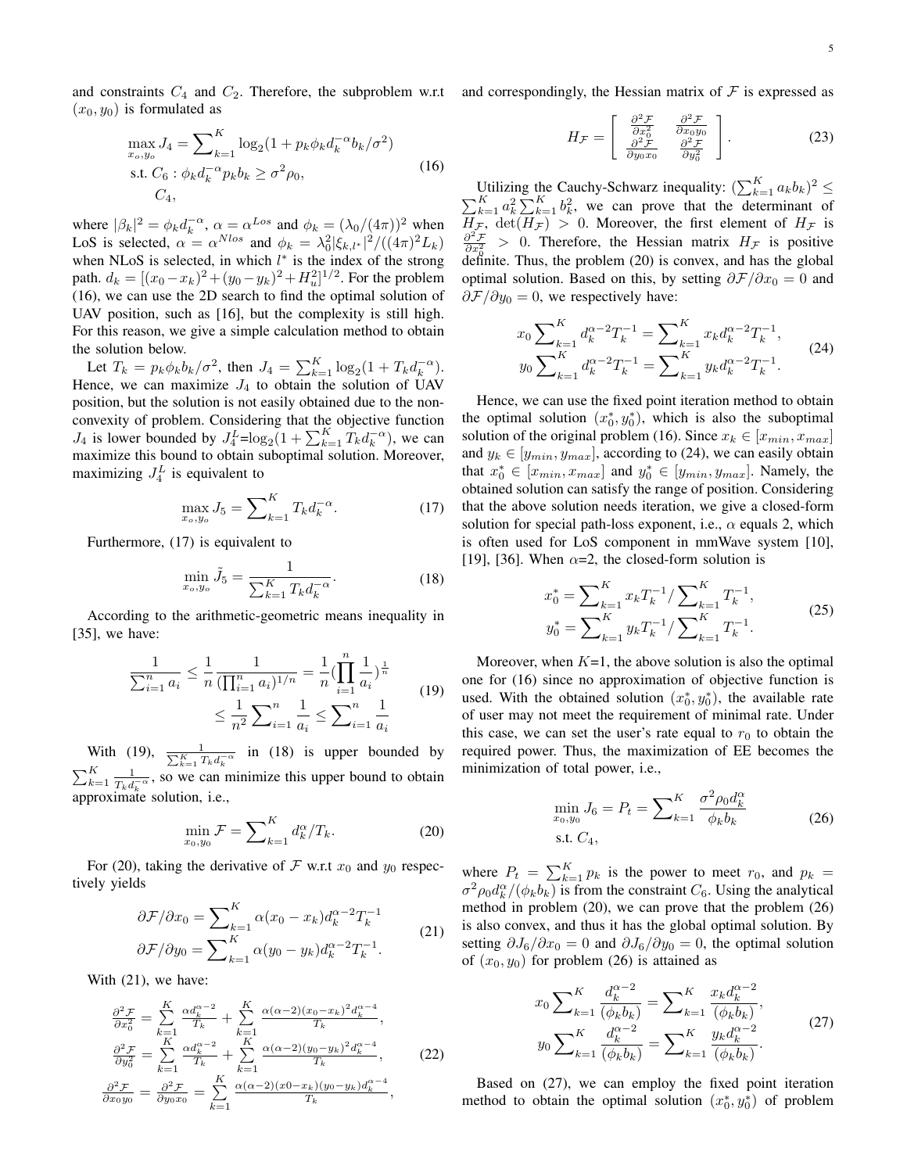and constraints  $C_4$  and  $C_2$ . Therefore, the subproblem w.r.t and correspondingly, the Hessian matrix of  $\mathcal F$  is expressed as  $(x_0, y_0)$  is formulated as

$$
\max_{x_o, y_o} J_4 = \sum_{k=1}^{K} \log_2(1 + p_k \phi_k d_k^{-\alpha} b_k / \sigma^2)
$$
  
s.t.  $C_6 : \phi_k d_k^{-\alpha} p_k b_k \ge \sigma^2 \rho_0$ , (16)  
 $C_4$ ,

where  $|\beta_k|^2 = \phi_k d_k^{-\alpha}, \ \alpha = \alpha^{Loss}$  and  $\phi_k = (\lambda_0/(4\pi))^2$  when LoS is selected,  $\alpha = \alpha^{Nlos}$  and  $\phi_k = \lambda_0^2 |\xi_{k,l^*}|^2 / ((4\pi)^2 L_k)$ when NLoS is selected, in which *l ∗* is the index of the strong path.  $d_k = [(x_0 - x_k)^2 + (y_0 - y_k)^2 + H_u^2]^{1/2}$ . For the problem (16), we can use the 2D search to find the optimal solution of UAV position, such as [16], but the complexity is still high. For this reason, we give a simple calculation method to obtain the solution below.

Let  $T_k = p_k \phi_k b_k / \sigma^2$ , then  $J_4 = \sum_{k=1}^K \log_2(1 + T_k d_k^{-\alpha})$ . Hence, we can maximize  $J_4$  to obtain the solution of UAV position, but the solution is not easily obtained due to the nonconvexity of problem. Considering that the objective function *J*<sub>4</sub> is lower bounded by  $J_4^L = \log_2(1 + \sum_{k=1}^K T_k d_k^{-\alpha})$ , we can maximize this bound to obtain suboptimal solution. Moreover, maximizing  $J_4^L$  is equivalent to

$$
\max_{x_o, y_o} J_5 = \sum_{k=1}^{K} T_k d_k^{-\alpha}.
$$
 (17)

Furthermore, (17) is equivalent to

$$
\min_{x_o, y_o} \tilde{J}_5 = \frac{1}{\sum_{k=1}^K T_k d_k^{-\alpha}}.
$$
\n(18)

According to the arithmetic-geometric means inequality in [35], we have:

$$
\frac{1}{\sum_{i=1}^{n} a_i} \le \frac{1}{n} \frac{1}{(\prod_{i=1}^{n} a_i)^{1/n}} = \frac{1}{n} (\prod_{i=1}^{n} \frac{1}{a_i})^{\frac{1}{n}} \le \frac{1}{n^2} \sum_{i=1}^{n} \frac{1}{a_i} \le \sum_{i=1}^{n} \frac{1}{a_i}
$$
(19)

With (19),  $\frac{1}{\sum_{k=1}^{K} T_k d_k^{-\alpha}}$  in (18) is upper bounded by  $\sum_{k=1}^K \frac{1}{T_k d_k^{-\alpha}}$ , so we can  $\frac{1}{T_k d_k^T}$ , so we can minimize this upper bound to obtain approximate solution, i.e.,

$$
\min_{x_0, y_0} \mathcal{F} = \sum_{k=1}^K d_k^{\alpha} / T_k. \tag{20}
$$

For (20), taking the derivative of  $\mathcal F$  w.r.t  $x_0$  and  $y_0$  respectively yields

$$
\partial \mathcal{F}/\partial x_0 = \sum_{k=1}^K \alpha (x_0 - x_k) d_k^{\alpha - 2} T_k^{-1}
$$
  

$$
\partial \mathcal{F}/\partial y_0 = \sum_{k=1}^K \alpha (y_0 - y_k) d_k^{\alpha - 2} T_k^{-1}.
$$
 (21)

With (21), we have:

$$
\frac{\partial^2 \mathcal{F}}{\partial x_0^2} = \sum_{k=1}^K \frac{\alpha d_k^{\alpha-2}}{T_k} + \sum_{k=1}^K \frac{\alpha (\alpha - 2)(x_0 - x_k)^2 d_k^{\alpha - 4}}{T_k},
$$
  

$$
\frac{\partial^2 \mathcal{F}}{\partial y_0^2} = \sum_{k=1}^K \frac{\alpha d_k^{\alpha - 2}}{T_k} + \sum_{k=1}^K \frac{\alpha (\alpha - 2)(y_0 - y_k)^2 d_k^{\alpha - 4}}{T_k},
$$
(22)  

$$
\frac{\partial^2 \mathcal{F}}{\partial x_0 y_0} = \frac{\partial^2 \mathcal{F}}{\partial y_0 x_0} = \sum_{k=1}^K \frac{\alpha (\alpha - 2)(x_0 - x_k)(y_0 - y_k) d_k^{\alpha - 4}}{T_k},
$$

$$
H_{\mathcal{F}} = \begin{bmatrix} \frac{\partial^2 \mathcal{F}}{\partial x_0^2} & \frac{\partial^2 \mathcal{F}}{\partial x_0 y_0} \\ \frac{\partial^2 \mathcal{F}}{\partial y_0 x_0} & \frac{\partial^2 \mathcal{F}}{\partial y_0^2} \end{bmatrix} .
$$
 (23)

Utilizing the Cauchy-Schwarz inequality:  $(\sum_{k=1}^{K} a_k b_k)^2 \leq$  $\sum_{k=1}^{K} a_k^2 \sum_{k=1}^{K} b_k^2$ , we can prove that the determinant of  $H_F$ ,  $\det(H_F) > 0$ . Moreover, the first element of  $H_F$  is  $\frac{\partial^2 \mathcal{F}}{\partial x_0^2}$  > 0. Therefore, the Hessian matrix *H<sub>F</sub>* is positive  $\frac{d^{20}}{dx^{0}}$  definite. Thus, the problem (20) is convex, and has the global optimal solution. Based on this, by setting  $\partial \mathcal{F}/\partial x_0 = 0$  and  $\partial \mathcal{F}/\partial y_0 = 0$ , we respectively have:

$$
x_0 \sum_{k=1}^K d_k^{\alpha-2} T_k^{-1} = \sum_{k=1}^K x_k d_k^{\alpha-2} T_k^{-1},
$$
  

$$
y_0 \sum_{k=1}^K d_k^{\alpha-2} T_k^{-1} = \sum_{k=1}^K y_k d_k^{\alpha-2} T_k^{-1}.
$$
 (24)

Hence, we can use the fixed point iteration method to obtain the optimal solution  $(x_0^*, y_0^*)$ , which is also the suboptimal solution of the original problem (16). Since  $x_k \in [x_{min}, x_{max}]$ and  $y_k \in [y_{min}, y_{max}]$ , according to (24), we can easily obtain that  $x_0^* \in [x_{min}, x_{max}]$  and  $y_0^* \in [y_{min}, y_{max}]$ . Namely, the obtained solution can satisfy the range of position. Considering that the above solution needs iteration, we give a closed-form solution for special path-loss exponent, i.e.,  $\alpha$  equals 2, which is often used for LoS component in mmWave system [10], [19], [36]. When  $\alpha=2$ , the closed-form solution is

$$
x_0^* = \sum_{k=1}^K x_k T_k^{-1} / \sum_{k=1}^K T_k^{-1},
$$
  
\n
$$
y_0^* = \sum_{k=1}^K y_k T_k^{-1} / \sum_{k=1}^K T_k^{-1}.
$$
\n(25)

Moreover, when  $K=1$ , the above solution is also the optimal one for (16) since no approximation of objective function is used. With the obtained solution  $(x_0^*, y_0^*)$ , the available rate of user may not meet the requirement of minimal rate. Under this case, we can set the user's rate equal to  $r_0$  to obtain the required power. Thus, the maximization of EE becomes the minimization of total power, i.e.,

$$
\min_{x_0, y_0} J_6 = P_t = \sum_{k=1}^K \frac{\sigma^2 \rho_0 d_k^{\alpha}}{\phi_k b_k}
$$
\ns.t.

\n
$$
C_4,
$$
\n(26)

where  $P_t = \sum_{k=1}^K p_k$  is the power to meet  $r_0$ , and  $p_k =$  $\sigma^2 \rho_0 d_k^{\alpha} / (\phi_k b_k)$  is from the constraint *C*<sub>6</sub>. Using the analytical method in problem (20), we can prove that the problem (26) is also convex, and thus it has the global optimal solution. By setting  $\partial J_6/\partial x_0 = 0$  and  $\partial J_6/\partial y_0 = 0$ , the optimal solution of  $(x_0, y_0)$  for problem (26) is attained as

$$
x_0 \sum_{k=1}^K \frac{d_k^{\alpha-2}}{(\phi_k b_k)} = \sum_{k=1}^K \frac{x_k d_k^{\alpha-2}}{(\phi_k b_k)},
$$
  

$$
y_0 \sum_{k=1}^K \frac{d_k^{\alpha-2}}{(\phi_k b_k)} = \sum_{k=1}^K \frac{y_k d_k^{\alpha-2}}{(\phi_k b_k)}.
$$
 (27)

Based on (27), we can employ the fixed point iteration method to obtain the optimal solution  $(x_0^*, y_0^*)$  of problem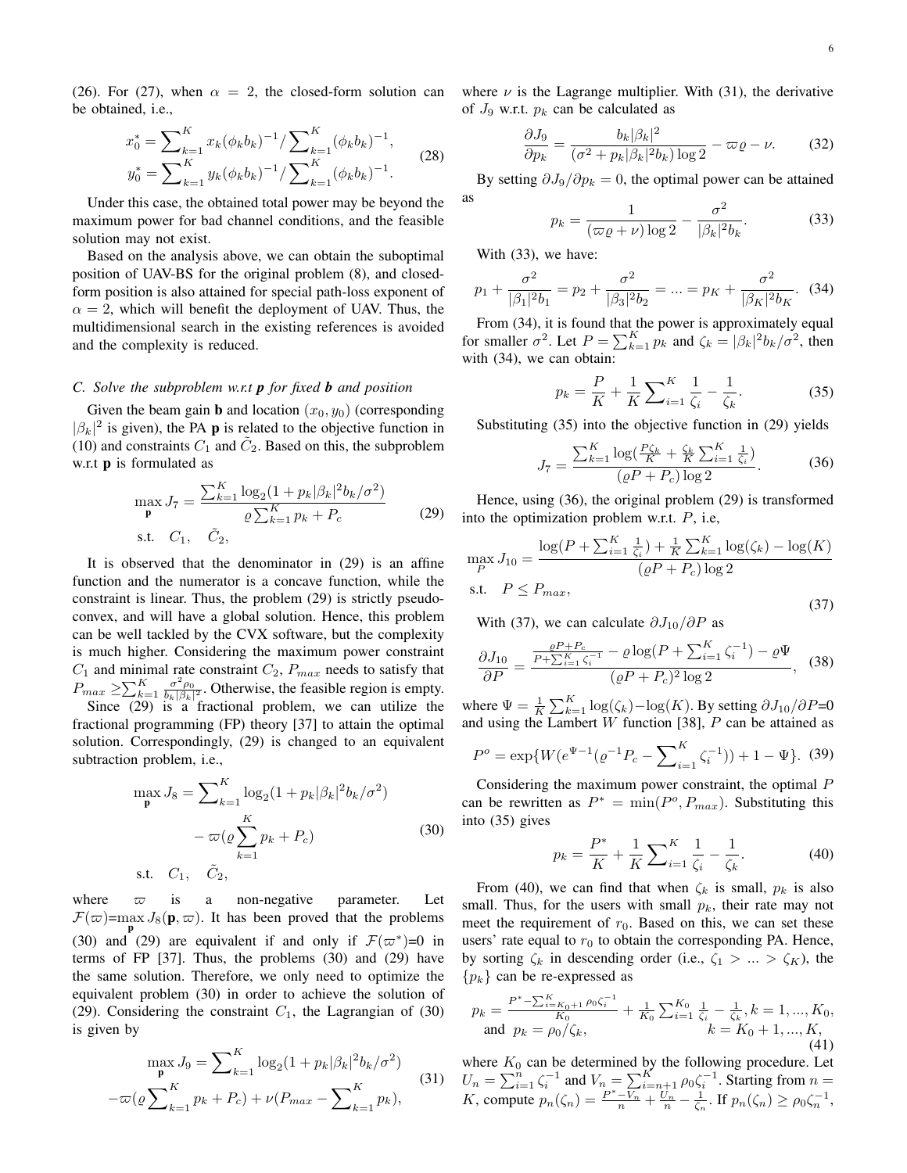(26). For (27), when  $\alpha = 2$ , the closed-form solution can be obtained, i.e.,

$$
x_0^* = \sum_{k=1}^K x_k (\phi_k b_k)^{-1} / \sum_{k=1}^K (\phi_k b_k)^{-1},
$$
  
\n
$$
y_0^* = \sum_{k=1}^K y_k (\phi_k b_k)^{-1} / \sum_{k=1}^K (\phi_k b_k)^{-1}.
$$
\n(28)

Under this case, the obtained total power may be beyond the maximum power for bad channel conditions, and the feasible solution may not exist.

Based on the analysis above, we can obtain the suboptimal position of UAV-BS for the original problem (8), and closedform position is also attained for special path-loss exponent of  $\alpha = 2$ , which will benefit the deployment of UAV. Thus, the multidimensional search in the existing references is avoided and the complexity is reduced.

#### *C. Solve the subproblem w.r.t p for fixed b and position*

Given the beam gain **b** and location  $(x_0, y_0)$  (corresponding  $|\beta_k|^2$  is given), the PA **p** is related to the objective function in (10) and constraints  $C_1$  and  $\tilde{C}_2$ . Based on this, the subproblem w.r.t p is formulated as

$$
\max_{\mathbf{p}} J_7 = \frac{\sum_{k=1}^{K} \log_2(1 + p_k |\beta_k|^2 b_k / \sigma^2)}{\varrho \sum_{k=1}^{K} p_k + P_c}
$$
 (29)

It is observed that the denominator in (29) is an affine function and the numerator is a concave function, while the constraint is linear. Thus, the problem (29) is strictly pseudoconvex, and will have a global solution. Hence, this problem can be well tackled by the CVX software, but the complexity is much higher. Considering the maximum power constraint  $C_1$  and minimal rate constraint  $C_2$ ,  $P_{max}$  needs to satisfy that  $P_{max} \ge \sum_{k=1}^{K} \frac{\sigma^2 \rho_0}{b_k |\beta_k|^2}$ . Otherwise, the feasible region is empty. Since  $(29)$  is a fractional problem, we can utilize the

fractional programming (FP) theory [37] to attain the optimal solution. Correspondingly, (29) is changed to an equivalent subtraction problem, i.e.,

$$
\max_{\mathbf{p}} J_8 = \sum_{k=1}^{K} \log_2(1 + p_k |\beta_k|^2 b_k / \sigma^2) - \varpi(\varrho \sum_{k=1}^{K} p_k + P_c)
$$
\ns.t.  $C_1$ ,  $\tilde{C}_2$ , (30)

where  $\varpi$  is a non-negative parameter. Let  $\mathcal{F}(\varpi)$ =max  $J_8(\mathbf{p}, \varpi)$ . It has been proved that the problems (30) and (29) are equivalent if and only if  $\mathcal{F}(\varpi^*)=0$  in terms of FP [37]. Thus, the problems (30) and (29) have the same solution. Therefore, we only need to optimize the equivalent problem (30) in order to achieve the solution of (29). Considering the constraint  $C_1$ , the Lagrangian of (30) is given by

$$
\max_{\mathbf{p}} J_9 = \sum_{k=1}^K \log_2(1 + p_k |\beta_k|^2 b_k / \sigma^2)
$$

$$
-\varpi(\varrho \sum_{k=1}^K p_k + P_c) + \nu(P_{max} - \sum_{k=1}^K p_k), \tag{31}
$$

where  $\nu$  is the Lagrange multiplier. With (31), the derivative of  $J_9$  w.r.t.  $p_k$  can be calculated as

$$
\frac{\partial J_9}{\partial p_k} = \frac{b_k |\beta_k|^2}{(\sigma^2 + p_k |\beta_k|^2 b_k) \log 2} - \varpi \varrho - \nu.
$$
 (32)

By setting  $\partial J_9 / \partial p_k = 0$ , the optimal power can be attained as

$$
p_k = \frac{1}{(\varpi \varrho + \nu) \log 2} - \frac{\sigma^2}{|\beta_k|^2 b_k}.
$$
 (33)

With (33), we have:

$$
p_1 + \frac{\sigma^2}{|\beta_1|^2 b_1} = p_2 + \frac{\sigma^2}{|\beta_3|^2 b_2} = \dots = p_K + \frac{\sigma^2}{|\beta_K|^2 b_K}.
$$
 (34)

From (34), it is found that the power is approximately equal for smaller  $\sigma^2$ . Let  $P = \sum_{k=1}^K p_k$  and  $\zeta_k = |\beta_k|^2 b_k / \sigma^2$ , then with (34), we can obtain:

$$
p_k = \frac{P}{K} + \frac{1}{K} \sum_{i=1}^{K} \frac{1}{\zeta_i} - \frac{1}{\zeta_k}.
$$
 (35)

Substituting (35) into the objective function in (29) yields

$$
J_7 = \frac{\sum_{k=1}^{K} \log(\frac{P\zeta_k}{K} + \frac{\zeta_k}{K} \sum_{i=1}^{K} \frac{1}{\zeta_i})}{(\varrho P + P_c) \log 2}.
$$
 (36)

Hence, using (36), the original problem (29) is transformed into the optimization problem w.r.t. *P*, i.e,

$$
\max_{P} J_{10} = \frac{\log(P + \sum_{i=1}^{K} \frac{1}{\zeta_i}) + \frac{1}{K} \sum_{k=1}^{K} \log(\zeta_k) - \log(K)}{(\varrho P + P_c) \log 2}
$$
  
s.t.  $P \le P_{max}$ , (37)

With (37), we can calculate *∂J*10*/∂P* as

$$
\frac{\partial J_{10}}{\partial P} = \frac{\frac{\varrho P + P_c}{P + \sum_{i=1}^{K} \zeta_i^{-1}} - \varrho \log(P + \sum_{i=1}^{K} \zeta_i^{-1}) - \varrho \Psi}{(\varrho P + P_c)^2 \log 2}, \quad (38)
$$

where  $\Psi = \frac{1}{K} \sum_{k=1}^{K} \log(\zeta_k) - \log(K)$ . By setting  $\partial J_{10}/\partial P = 0$ and using the Lambert *W* function [38], *P* can be attained as

$$
P^{o} = \exp\{W(e^{\Psi - 1}(\varrho^{-1}P_{c} - \sum_{i=1}^{K}\zeta_{i}^{-1})) + 1 - \Psi\}. (39)
$$

Considering the maximum power constraint, the optimal *P* can be rewritten as  $P^* = \min(P^o, P_{max})$ . Substituting this into (35) gives

$$
p_k = \frac{P^*}{K} + \frac{1}{K} \sum_{i=1}^{K} \frac{1}{\zeta_i} - \frac{1}{\zeta_k}.
$$
 (40)

From (40), we can find that when  $\zeta_k$  is small,  $p_k$  is also small. Thus, for the users with small  $p_k$ , their rate may not meet the requirement of  $r_0$ . Based on this, we can set these users' rate equal to  $r_0$  to obtain the corresponding PA. Hence, by sorting  $\zeta_k$  in descending order (i.e.,  $\zeta_1 > ... > \zeta_K$ ), the *{pk}* can be re-expressed as

$$
p_k = \frac{P^* - \sum_{i=K_0+1}^{K} \rho_0 \zeta_i^{-1}}{K_0} + \frac{1}{K_0} \sum_{i=1}^{K_0} \frac{1}{\zeta_i} - \frac{1}{\zeta_k}, k = 1, ..., K_0,
$$
  
and  $p_k = \rho_0/\zeta_k,$  (41)

where  $K_0$  can be determined by the following procedure. Let  $U_n = \sum_{i=1}^n \zeta_i^{-1}$  and  $V_n = \sum_{i=n+1}^K \rho_0 \zeta_i^{-1}$ . Starting from  $n =$ K, compute  $p_n(\zeta_n) = \frac{P^*-V_n}{n} + \frac{U_n}{n} - \frac{1}{\zeta_n}$ . If  $p_n(\zeta_n) \ge \rho_0 \zeta_n^{-1}$ ,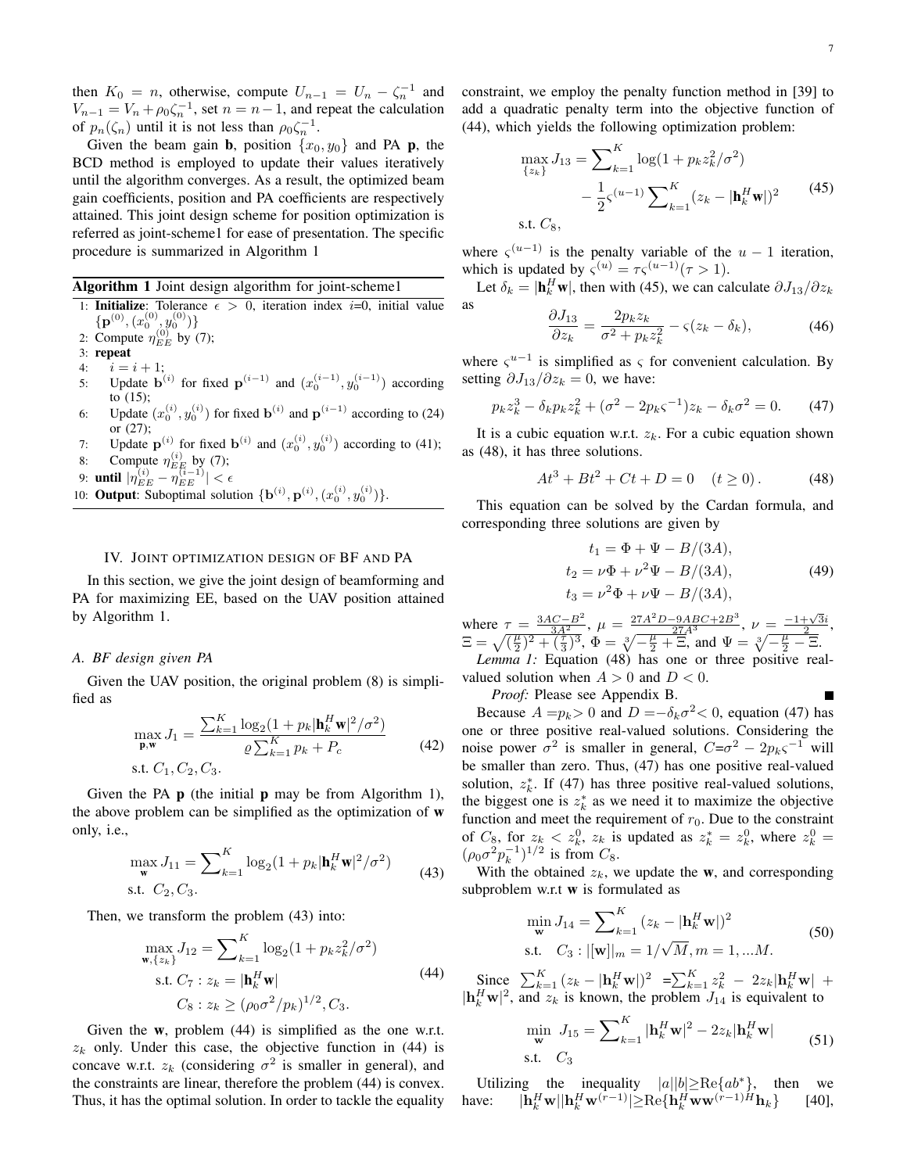then  $K_0 = n$ , otherwise, compute  $U_{n-1} = U_n - \zeta_n^{-1}$  and  $V_{n-1} = V_n + \rho_0 \zeta_n^{-1}$ , set  $n = n-1$ , and repeat the calculation of  $p_n(\zeta_n)$  until it is not less than  $\rho_0 \zeta_n^{-1}$ .

Given the beam gain **b**, position  $\{x_0, y_0\}$  and PA **p**, the BCD method is employed to update their values iteratively until the algorithm converges. As a result, the optimized beam gain coefficients, position and PA coefficients are respectively attained. This joint design scheme for position optimization is referred as joint-scheme1 for ease of presentation. The specific procedure is summarized in Algorithm 1

Algorithm 1 Joint design algorithm for joint-scheme1

- 1: **Initialize**: Tolerance  $\epsilon > 0$ , iteration index *i*=0, initial value  $\{ {\bf p}^{(0)}, (x_0^{(0)}, y_0^{(0)}) \}$
- 2: Compute  $\eta_{EE}^{(0)}$  by (7);
- 3: repeat
- 4:  $i = i + 1;$ 5: Update **b**<sup>(*i*)</sup> for fixed **p**<sup>(*i*-1)</sup> and  $(x_0^{(i-1)}, y_0^{(i-1)})$  according to (15);
- 6: Update  $(x_0^{(i)}, y_0^{(i)})$  for fixed **b**<sup>(*i*)</sup> and **p**<sup>(*i*-1)</sup> according to (24) or (27);

7: Update  $\mathbf{p}^{(i)}$  for fixed  $\mathbf{b}^{(i)}$  and  $(x_0^{(i)}, y_0^{(i)})$  according to (41);

8: Compute  $\eta_{EE}^{(i)}$  by (7);

9: **until**  $|\eta_{EE}^{(i)} - \eta_{EE}^{(i-1)}| < \epsilon$ 

10: **Output:** Suboptimal solution  $\{ \mathbf{b}^{(i)}, \mathbf{p}^{(i)}, (x_0^{(i)}, y_0^{(i)}) \}.$ 

## IV. JOINT OPTIMIZATION DESIGN OF BF AND PA

In this section, we give the joint design of beamforming and PA for maximizing EE, based on the UAV position attained by Algorithm 1.

## *A. BF design given PA*

Given the UAV position, the original problem (8) is simplified as

$$
\max_{\mathbf{p}, \mathbf{w}} J_1 = \frac{\sum_{k=1}^{K} \log_2(1 + p_k | \mathbf{h}_k^H \mathbf{w} |^2 / \sigma^2)}{\varrho \sum_{k=1}^{K} p_k + P_c}
$$
\n142

\n15.1

Given the PA  $\bf{p}$  (the initial  $\bf{p}$  may be from Algorithm 1), the above problem can be simplified as the optimization of w only, i.e.,

$$
\max_{\mathbf{w}} J_{11} = \sum_{k=1}^{K} \log_2(1 + p_k |\mathbf{h}_k^H \mathbf{w}|^2 / \sigma^2)
$$
 (43)

Then, we transform the problem (43) into:

$$
\max_{\mathbf{w}, \{z_k\}} J_{12} = \sum_{k=1}^{K} \log_2(1 + p_k z_k^2 / \sigma^2)
$$
  
s.t.  $C_7 : z_k = |\mathbf{h}_k^H \mathbf{w}|$  (44)  
 $C_8 : z_k \ge (\rho_0 \sigma^2 / p_k)^{1/2}, C_3.$ 

Given the w, problem (44) is simplified as the one w.r.t.  $z_k$  only. Under this case, the objective function in (44) is concave w.r.t.  $z_k$  (considering  $\sigma^2$  is smaller in general), and the constraints are linear, therefore the problem (44) is convex. Thus, it has the optimal solution. In order to tackle the equality constraint, we employ the penalty function method in [39] to add a quadratic penalty term into the objective function of (44), which yields the following optimization problem:

$$
\max_{\{z_k\}} J_{13} = \sum_{k=1}^{K} \log(1 + p_k z_k^2 / \sigma^2)
$$

$$
- \frac{1}{2} \varsigma^{(u-1)} \sum_{k=1}^{K} (z_k - |\mathbf{h}_k^H \mathbf{w}|)^2
$$
(45)  
s.t.  $C_8$ ,

where  $\zeta^{(u-1)}$  is the penalty variable of the  $u-1$  iteration, which is updated by  $\zeta^{(u)} = \tau \zeta^{(u-1)}(\tau > 1)$ .

Let  $\delta_k = |\mathbf{h}_k^H \mathbf{w}|$ , then with (45), we can calculate  $\partial J_{13}/\partial z_k$ as  $\partial J_{13}$ 

$$
\frac{\partial J_{13}}{\partial z_k} = \frac{2p_k z_k}{\sigma^2 + p_k z_k^2} - \varsigma (z_k - \delta_k),\tag{46}
$$

where  $\zeta^{u-1}$  is simplified as  $\zeta$  for convenient calculation. By setting  $\partial J_{13}/\partial z_k = 0$ , we have:

$$
p_k z_k^3 - \delta_k p_k z_k^2 + (\sigma^2 - 2p_k \varsigma^{-1}) z_k - \delta_k \sigma^2 = 0.
$$
 (47)

It is a cubic equation w.r.t.  $z_k$ . For a cubic equation shown as (48), it has three solutions.

$$
At3 + Bt2 + Ct + D = 0 \t(t \ge 0).
$$
 (48)

This equation can be solved by the Cardan formula, and corresponding three solutions are given by

$$
t_1 = \Phi + \Psi - B/(3A),
$$
  
\n
$$
t_2 = \nu \Phi + \nu^2 \Psi - B/(3A),
$$
  
\n
$$
t_3 = \nu^2 \Phi + \nu \Psi - B/(3A),
$$
\n(49)

where  $\tau = \frac{3AC - B^2}{3A^2}$ ,  $\mu = \frac{27A^2D - 9ABC + 2B^3}{27A^3}$ ,  $\nu = \frac{-1 + \sqrt{3}i}{2}$ ,  $E = \sqrt{(\frac{\mu}{2})^2 + (\frac{\tau}{3})^3}, \Phi = \sqrt[3]{-\frac{\mu}{2} + \Xi}, \text{ and } \Psi = \sqrt[3]{-\frac{\mu}{2} - \Xi}.$ *Lemma 1:* Equation (48) has one or three positive real-

valued solution when  $A > 0$  and  $D < 0$ . *Proof:* Please see Appendix B.

Because  $A = p_k > 0$  and  $D = -\delta_k \sigma^2 < 0$ , equation (47) has one or three positive real-valued solutions. Considering the noise power  $\sigma^2$  is smaller in general,  $C = \sigma^2 - 2p_k \varsigma^{-1}$  will be smaller than zero. Thus, (47) has one positive real-valued solution,  $z_k^*$ . If (47) has three positive real-valued solutions, the biggest one is  $z_k^*$  as we need it to maximize the objective function and meet the requirement of  $r_0$ . Due to the constraint of  $C_8$ , for  $z_k < z_k^0$ ,  $z_k$  is updated as  $z_k^* = z_k^0$ , where  $z_k^0 =$  $(\rho_0 \sigma^2 p_k^{-1})^{1/2}$  is from  $C_8$ .

With the obtained  $z_k$ , we update the **w**, and corresponding subproblem w.r.t w is formulated as

$$
\min_{\mathbf{w}} J_{14} = \sum_{k=1}^{K} (z_k - |\mathbf{h}_k^H \mathbf{w}|)^2
$$
  
s.t.  $C_3 : |[\mathbf{w}]|_m = 1/\sqrt{M}, m = 1, ...M.$  (50)

 $\sum_{k=1}^{K} (z_k - |\mathbf{h}_k^H \mathbf{w}|)^2 = \sum_{k=1}^{K} z_k^2 - 2z_k |\mathbf{h}_k^H \mathbf{w}| +$  $|\mathbf{h}_k^H \mathbf{w}|^2$ , and  $z_k$  is known, the problem  $J_{14}$  is equivalent to

$$
\min_{\mathbf{w}} J_{15} = \sum_{k=1}^{K} |\mathbf{h}_{k}^{H} \mathbf{w}|^{2} - 2z_{k} |\mathbf{h}_{k}^{H} \mathbf{w}|
$$
\n51)

Utilizing the inequality  $|a||b| \geq Re\{ab^*\}$ , then we have: *|***h**  $\{H_k^H \mathbf{w}^{(r-1)} | \geq \text{Re}\{\mathbf{h}_k^H \mathbf{w} \mathbf{w}^{(r-1)H} \mathbf{h}_k\}$  [40],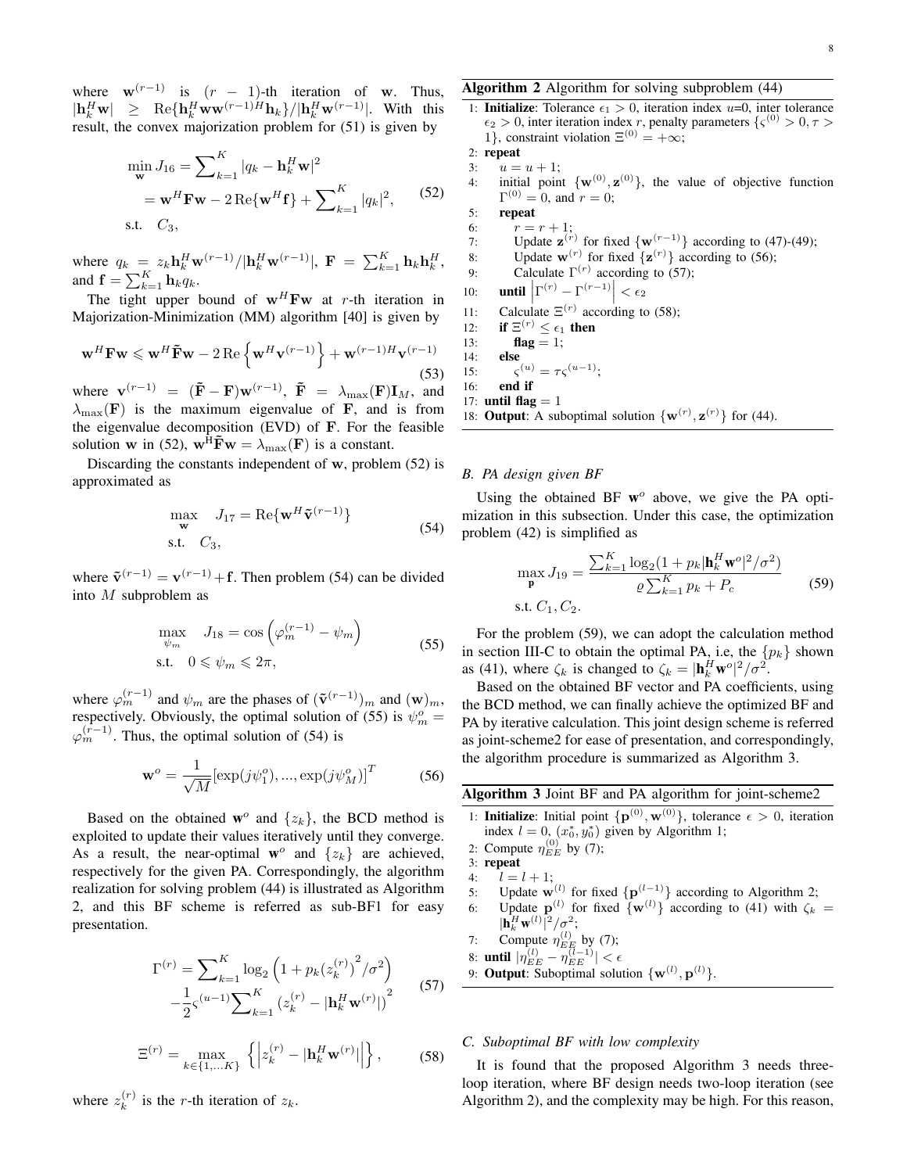where  $\mathbf{w}^{(r-1)}$  is  $(r-1)$ -th iteration of **w**. Thus,  $|\mathbf{h}_k^H \mathbf{w}| \geq \text{Re}\{\mathbf{h}_k^H \mathbf{w} \mathbf{w}^{(r-1)H} \mathbf{h}_k\} / |\mathbf{h}_k^H \mathbf{w}^{(r-1)}|.$  With this result, the convex majorization problem for (51) is given by

$$
\min_{\mathbf{w}} J_{16} = \sum_{k=1}^{K} |q_k - \mathbf{h}_k^H \mathbf{w}|^2
$$
  
=  $\mathbf{w}^H \mathbf{F} \mathbf{w} - 2 \operatorname{Re}\{\mathbf{w}^H \mathbf{f}\} + \sum_{k=1}^{K} |q_k|^2,$  (52)  
s.t.  $C_3$ ,

where  $q_k = z_k \mathbf{h}_k^H \mathbf{w}^{(r-1)}/|\mathbf{h}_k^H \mathbf{w}^{(r-1)}|$ ,  $\mathbf{F} = \sum_{k=1}^K \mathbf{h}_k \mathbf{h}_k^H$ , and  $\mathbf{f} = \sum_{k=1}^{K} \mathbf{h}_k q_k$ .

The tight upper bound of  $w^H F w$  at *r*-th iteration in Majorization-Minimization (MM) algorithm [40] is given by

$$
\mathbf{w}^H \mathbf{F} \mathbf{w} \leqslant \mathbf{w}^H \tilde{\mathbf{F}} \mathbf{w} - 2 \operatorname{Re} \left\{ \mathbf{w}^H \mathbf{v}^{(r-1)} \right\} + \mathbf{w}^{(r-1)H} \mathbf{v}^{(r-1)}
$$
\n(53)

where  $\mathbf{v}^{(r-1)} = (\mathbf{\tilde{F}} - \mathbf{F})\mathbf{w}^{(r-1)}$ ,  $\mathbf{\tilde{F}} = \lambda_{\max}(\mathbf{F})\mathbf{I}_M$ , and  $\lambda_{\text{max}}(\mathbf{F})$  is the maximum eigenvalue of **F**, and is from the eigenvalue decomposition (EVD) of **F**. For the feasible solution **w** in (52),  $\mathbf{w}^H \tilde{\mathbf{F}} \mathbf{w} = \lambda_{\text{max}}(\mathbf{F})$  is a constant.

Discarding the constants independent of **w**, problem (52) is approximated as

$$
\max_{\mathbf{w}} J_{17} = \text{Re}\{\mathbf{w}^{H}\tilde{\mathbf{v}}^{(r-1)}\}
$$
\n
$$
\text{s.t.} C_3,
$$
\n(54)

where  $\tilde{\mathbf{v}}^{(r-1)} = \mathbf{v}^{(r-1)} + \mathbf{f}$ . Then problem (54) can be divided into *M* subproblem as

$$
\max_{\psi_m} J_{18} = \cos\left(\varphi_m^{(r-1)} - \psi_m\right)
$$
\ns.t.  $0 \le \psi_m \le 2\pi$ , (55)

where  $\varphi_m^{(r-1)}$  and  $\psi_m$  are the phases of  $(\tilde{\mathbf{v}}^{(r-1)})_m$  and  $(\mathbf{w})_m$ , respectively. Obviously, the optimal solution of (55) is  $\psi_m^o =$  $\varphi_m^{(r-1)}$ . Thus, the optimal solution of (54) is

$$
\mathbf{w}^o = \frac{1}{\sqrt{M}} [\exp(j\psi_1^o), ..., \exp(j\psi_M^o)]^T
$$
 (56)

Based on the obtained  $\mathbf{w}^{\circ}$  and  $\{z_k\}$ , the BCD method is exploited to update their values iteratively until they converge. As a result, the near-optimal  $w^{\circ}$  and  $\{z_k\}$  are achieved, respectively for the given PA. Correspondingly, the algorithm realization for solving problem (44) is illustrated as Algorithm 2, and this BF scheme is referred as sub-BF1 for easy presentation.

$$
\Gamma^{(r)} = \sum_{k=1}^{K} \log_2 \left( 1 + p_k (z_k^{(r)})^2 / \sigma^2 \right)
$$

$$
- \frac{1}{2} \varsigma^{(u-1)} \sum_{k=1}^{K} \left( z_k^{(r)} - |\mathbf{h}_k^H \mathbf{w}^{(r)}| \right)^2 \tag{57}
$$

$$
\Xi^{(r)} = \max_{k \in \{1, \dots K\}} \left\{ \left| z_k^{(r)} - |\mathbf{h}_k^H \mathbf{w}^{(r)}| \right| \right\},\tag{58}
$$

where  $z_k^{(r)}$  $\binom{r}{k}$  is the *r*-th iteration of  $z_k$ .

## Algorithm 2 Algorithm for solving subproblem (44)

1: **Initialize**: Tolerance  $\epsilon_1 > 0$ , iteration index *u*=0, inter tolerance  $\epsilon_2 > 0$ , inter iteration index *r*, penalty parameters  $\{\varsigma^{(0)} > 0, \tau > 0\}$ 1}, constraint violation  $\Xi^{(0)} = +\infty$ ;

$$
2: \text{repeat}
$$

- 3:  $u = u + 1;$
- 4: initial point  $\{w^{(0)}, z^{(0)}\}$ , the value of objective function  $\Gamma^{(0)} = 0$ , and  $r = 0$ ;
- 5: repeat 6:  $r = r + 1$ ; 7: Update  $\mathbf{z}^{(r)}$  for fixed  $\{\mathbf{w}^{(r-1)}\}$  according to (47)-(49); 8: Update  $\mathbf{w}^{(r)}$  for fixed  $\{\mathbf{z}^{(r)}\}$  according to (56); 9: Calculate  $\Gamma^{(r)}$  according to (57); 10: **until**  $\left| \Gamma^{(r)} - \Gamma^{(r-1)} \right| < \epsilon_2$  $\overline{\phantom{a}}$ 11: Calculate  $\Xi^{(r)}$  according to (58); 12: if  $\Xi^{(r)} \leq \epsilon_1$  then 13: **flag** = 1; 14: else 15: *ς*  $\zeta^{(u)} = \tau \zeta^{(u-1)}$ ;

16: end if

$$
17: \text{ until flag}=1
$$

18: **Output:** A suboptimal solution  $\{ \mathbf{w}^{(r)}, \mathbf{z}^{(r)} \}$  for (44).

## *B. PA design given BF*

Using the obtained BF w<sup>o</sup> above, we give the PA optimization in this subsection. Under this case, the optimization problem (42) is simplified as

$$
\max_{\mathbf{p}} J_{19} = \frac{\sum_{k=1}^{K} \log_2(1 + p_k | \mathbf{h}_k^H \mathbf{w}^o |^2 / \sigma^2)}{\varrho \sum_{k=1}^{K} p_k + P_c}
$$
(59)

For the problem (59), we can adopt the calculation method in section III-C to obtain the optimal PA, i.e, the  $\{p_k\}$  shown as (41), where  $\zeta_k$  is changed to  $\zeta_k = |\mathbf{h}_k^H \mathbf{w}^\circ|^2 / \sigma^2$ .

Based on the obtained BF vector and PA coefficients, using the BCD method, we can finally achieve the optimized BF and PA by iterative calculation. This joint design scheme is referred as joint-scheme2 for ease of presentation, and correspondingly, the algorithm procedure is summarized as Algorithm 3.

| Algorithm 3 Joint BF and PA algorithm for joint-scheme2 |  |  |  |  |
|---------------------------------------------------------|--|--|--|--|
|---------------------------------------------------------|--|--|--|--|

- 1: **Initialize**: Initial point  $\{p^{(0)}, w^{(0)}\}$ , tolerance  $\epsilon > 0$ , iteration index  $l = 0$ ,  $(x_0^*, y_0^*)$  given by Algorithm 1;
- 2: Compute  $\eta_{EE}^{(0)}$  by (7);
- 3: repeat
- 4:  $l = l + 1;$
- 5: Update  $\mathbf{w}^{(l)}$  for fixed  $\{\mathbf{p}^{(l-1)}\}$  according to Algorithm 2;
- 6: Update  $\mathbf{p}^{(l)}$  for fixed  $\{\mathbf{w}^{(l)}\}$  according to (41) with  $\zeta_k =$  $|\mathbf{h}_k^H \mathbf{w}^{(l)}|^2 / \sigma^2;$ <br>Compute  $x^{(l)}$

7: Compute 
$$
\eta_{EE}^{(l)}
$$
 by (7);

8: **until**  $|\eta_{EE}^{(l)} - \eta_{EE}^{(l-1)}| < \epsilon$ 

9: **Output:** Suboptimal solution  $\{w^{(l)}, p^{(l)}\}$ .

## *C. Suboptimal BF with low complexity*

It is found that the proposed Algorithm 3 needs threeloop iteration, where BF design needs two-loop iteration (see Algorithm 2), and the complexity may be high. For this reason,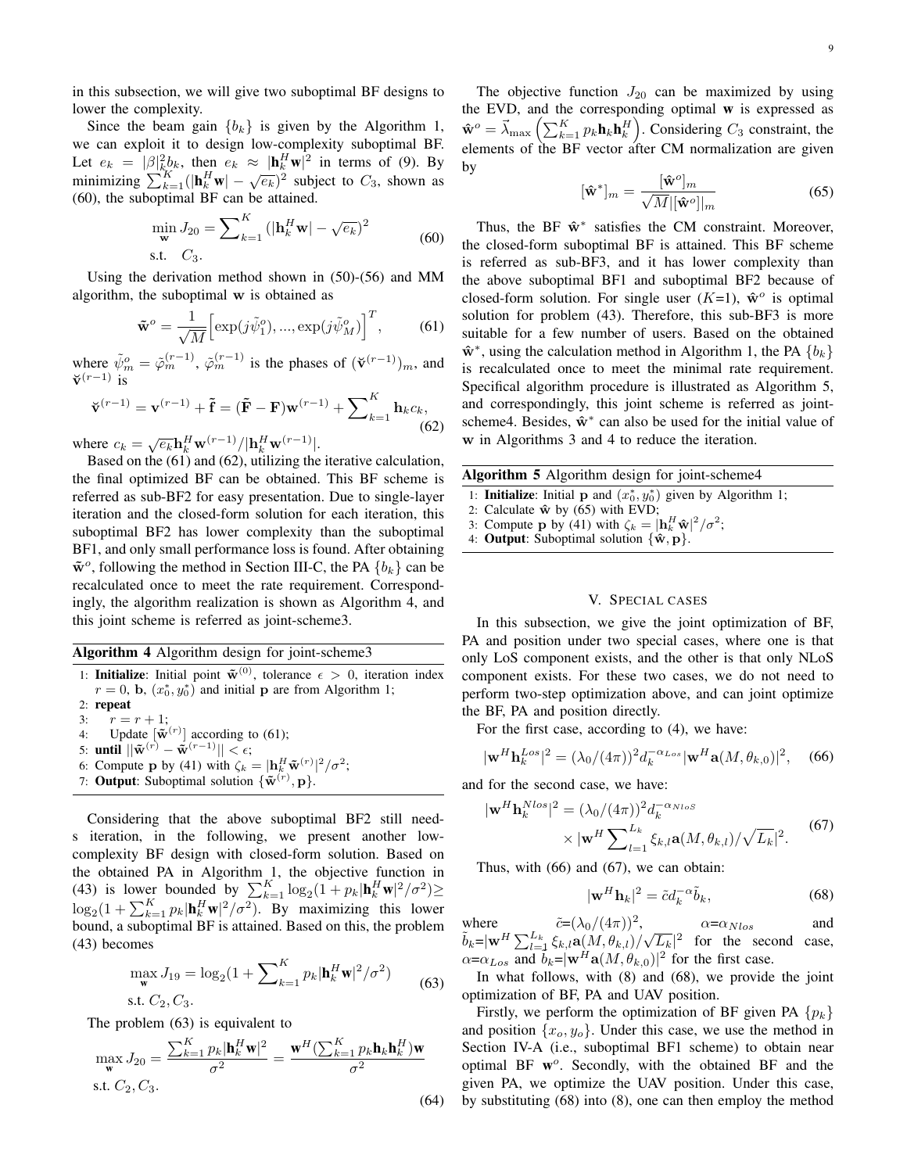in this subsection, we will give two suboptimal BF designs to lower the complexity.

Since the beam gain  ${b_k}$  is given by the Algorithm 1, we can exploit it to design low-complexity suboptimal BF. Let  $e_k = |\beta|^2_k b_k$ , then  $e_k \approx |\mathbf{h}_k^H \mathbf{w}|^2$  in terms of (9). By minimizing  $\sum_{k=1}^{K} (|\mathbf{h}_k^H \mathbf{w}| - \sqrt{\epsilon_k})^2$  subject to  $C_3$ , shown as (60), the suboptimal BF can be attained.

$$
\min_{\mathbf{w}} J_{20} = \sum_{k=1}^{K} (|\mathbf{h}_{k}^{H} \mathbf{w}| - \sqrt{e_{k}})^{2}
$$
\ns.t.

\n
$$
C_{3}.
$$
\n(60)

Using the derivation method shown in (50)-(56) and MM algorithm, the suboptimal **w** is obtained as

$$
\tilde{\mathbf{w}}^o = \frac{1}{\sqrt{M}} \left[ \exp(j\tilde{\psi}_1^o), \dots, \exp(j\tilde{\psi}_M^o) \right]^T, \tag{61}
$$

where  $\tilde{\psi}_m^o = \tilde{\varphi}_m^{(r-1)}$ ,  $\tilde{\varphi}_m^{(r-1)}$  is the phases of  $(\mathbf{\check{v}}^{(r-1)})_m$ , and **˘v** (*r−*1) is

$$
\mathbf{\check{v}}^{(r-1)} = \mathbf{v}^{(r-1)} + \mathbf{\tilde{f}} = (\mathbf{\tilde{F}} - \mathbf{F})\mathbf{w}^{(r-1)} + \sum_{k=1}^{K} \mathbf{h}_k c_k,
$$
\n(62)

where  $c_k = \sqrt{e_k} \mathbf{h}_k^H \mathbf{w}^{(r-1)}/|\mathbf{h}_k^H \mathbf{w}^{(r-1)}|$ .

Based on the (61) and (62), utilizing the iterative calculation, the final optimized BF can be obtained. This BF scheme is referred as sub-BF2 for easy presentation. Due to single-layer iteration and the closed-form solution for each iteration, this suboptimal BF2 has lower complexity than the suboptimal BF1, and only small performance loss is found. After obtaining  $\tilde{\mathbf{w}}^o$ , following the method in Section III-C, the PA  $\{b_k\}$  can be recalculated once to meet the rate requirement. Correspondingly, the algorithm realization is shown as Algorithm 4, and this joint scheme is referred as joint-scheme3.

Algorithm 4 Algorithm design for joint-scheme3

1: **Initialize**: Initial point  $\tilde{\mathbf{w}}^{(0)}$ , tolerance  $\epsilon > 0$ , iteration index  $r = 0$ , **b**,  $(x_0^*, y_0^*)$  and initial **p** are from Algorithm 1; 2: repeat 3:  $r = r + 1$ ; 4: Update  $\left[\tilde{\mathbf{w}}^{(r)}\right]$  according to (61); 5: until  $\|\tilde{\mathbf{w}}^{(r)} - \tilde{\mathbf{w}}^{(r-1)}\| < \epsilon$ ; 6: Compute **p** by (41) with  $\zeta_k = |\mathbf{h}_k^H \mathbf{\tilde{w}}^{(r)}|^2 / \sigma^2$ ; 7: Output: Suboptimal solution  $\{\tilde{\mathbf{w}}^{(r)}, \mathbf{p}\}.$ 

Considering that the above suboptimal BF2 still needs iteration, in the following, we present another lowcomplexity BF design with closed-form solution. Based on the obtained PA in Algorithm 1, the objective function in (43) is lower bounded by  $\sum_{k=1}^{K} \log_2(1 + p_k |\mathbf{h}_k^H \mathbf{w}|^2 / \sigma^2) \ge$  $\log_2(1 + \sum_{k=1}^K p_k |\mathbf{h}_k^H \mathbf{w}|^2 / \sigma^2)$ . By maximizing this lower bound, a suboptimal BF is attained. Based on this, the problem (43) becomes

$$
\max_{\mathbf{w}} J_{19} = \log_2(1 + \sum_{k=1}^{K} p_k |\mathbf{h}_k^H \mathbf{w}|^2 / \sigma^2)
$$
 (63)

The problem (63) is equivalent to

$$
\max_{\mathbf{w}} J_{20} = \frac{\sum_{k=1}^{K} p_k |\mathbf{h}_k^H \mathbf{w}|^2}{\sigma^2} = \frac{\mathbf{w}^H (\sum_{k=1}^{K} p_k \mathbf{h}_k \mathbf{h}_k^H) \mathbf{w}}{\sigma^2}
$$
  
s.t.  $C_2, C_3$ . (64)

The objective function  $J_{20}$  can be maximized by using the EVD, and the corresponding optimal  $w$  is expressed as  $\hat{\mathbf{w}}^o = \vec{\lambda}_{\text{max}} \left( \sum_{k=1}^K p_k \mathbf{h}_k \mathbf{h}_k^H \right)$ . Considering  $C_3$  constraint, the elements of the BF vector after CM normalization are given by

$$
[\hat{\mathbf{w}}^*]_m = \frac{[\hat{\mathbf{w}}^o]_m}{\sqrt{M} |[\hat{\mathbf{w}}^o]|_m}
$$
(65)

Thus, the BF **ˆw***<sup>∗</sup>* satisfies the CM constraint. Moreover, the closed-form suboptimal BF is attained. This BF scheme is referred as sub-BF3, and it has lower complexity than the above suboptimal BF1 and suboptimal BF2 because of closed-form solution. For single user  $(K=1)$ ,  $\hat{\mathbf{w}}^o$  is optimal solution for problem (43). Therefore, this sub-BF3 is more suitable for a few number of users. Based on the obtained **ˆw***<sup>∗</sup>* , using the calculation method in Algorithm 1, the PA *{bk}* is recalculated once to meet the minimal rate requirement. Specifical algorithm procedure is illustrated as Algorithm 5, and correspondingly, this joint scheme is referred as jointscheme4. Besides,  $\hat{\mathbf{w}}^*$  can also be used for the initial value of **w** in Algorithms 3 and 4 to reduce the iteration.

|  |  |  | Algorithm 5 Algorithm design for joint-scheme4 |
|--|--|--|------------------------------------------------|
|--|--|--|------------------------------------------------|

- 1: **Initialize**: Initial **p** and  $(x_0^*, y_0^*)$  given by Algorithm 1;
- 2: Calculate  $\hat{\mathbf{w}}$  by (65) with EVD;

3: Compute **p** by (41) with  $\zeta_k = |\mathbf{h}_k^H \hat{\mathbf{w}}|^2 / \sigma^2$ ;

4: **Output:** Suboptimal solution  $\{\hat{\mathbf{w}}, \mathbf{p}\}.$ 

#### V. SPECIAL CASES

In this subsection, we give the joint optimization of BF, PA and position under two special cases, where one is that only LoS component exists, and the other is that only NLoS component exists. For these two cases, we do not need to perform two-step optimization above, and can joint optimize the BF, PA and position directly.

For the first case, according to (4), we have:

$$
|\mathbf{w}^H \mathbf{h}_k^{Los}|^2 = (\lambda_0/(4\pi))^2 d_k^{-\alpha_{Los}} |\mathbf{w}^H \mathbf{a}(M, \theta_{k,0})|^2, \quad (66)
$$

and for the second case, we have:

$$
|\mathbf{w}^H \mathbf{h}_k^{Nlos}|^2 = (\lambda_0/(4\pi))^2 d_k^{-\alpha_{Nlos}} \times |\mathbf{w}^H \sum_{l=1}^{L_k} \xi_{k,l} \mathbf{a}(M, \theta_{k,l}) / \sqrt{L_k}|^2.
$$
 (67)

Thus, with (66) and (67), we can obtain:

$$
|\mathbf{w}^H \mathbf{h}_k|^2 = \tilde{c} d_k^{-\alpha} \tilde{b}_k,\tag{68}
$$

where  $\tilde{c} = (\lambda_0/(4\pi))^2$ ,  $\alpha = \alpha_{Nlos}$  and  $\tilde{b}_k = |\mathbf{w}^H \sum_{l=1}^{L_k} \xi_{k,l} \mathbf{a}(M, \theta_{k,l}) / \sqrt{L_k}|^2$  for the second case,  $\alpha = \alpha_{Los}$  and  $\vec{b}_k = |\mathbf{w}^H \mathbf{a}(M, \theta_{k,0})|^2$  for the first case.

In what follows, with (8) and (68), we provide the joint optimization of BF, PA and UAV position.

Firstly, we perform the optimization of BF given PA *{pk}* and position  $\{x_o, y_o\}$ . Under this case, we use the method in Section IV-A (i.e., suboptimal BF1 scheme) to obtain near optimal BF w *o* . Secondly, with the obtained BF and the given PA, we optimize the UAV position. Under this case, by substituting (68) into (8), one can then employ the method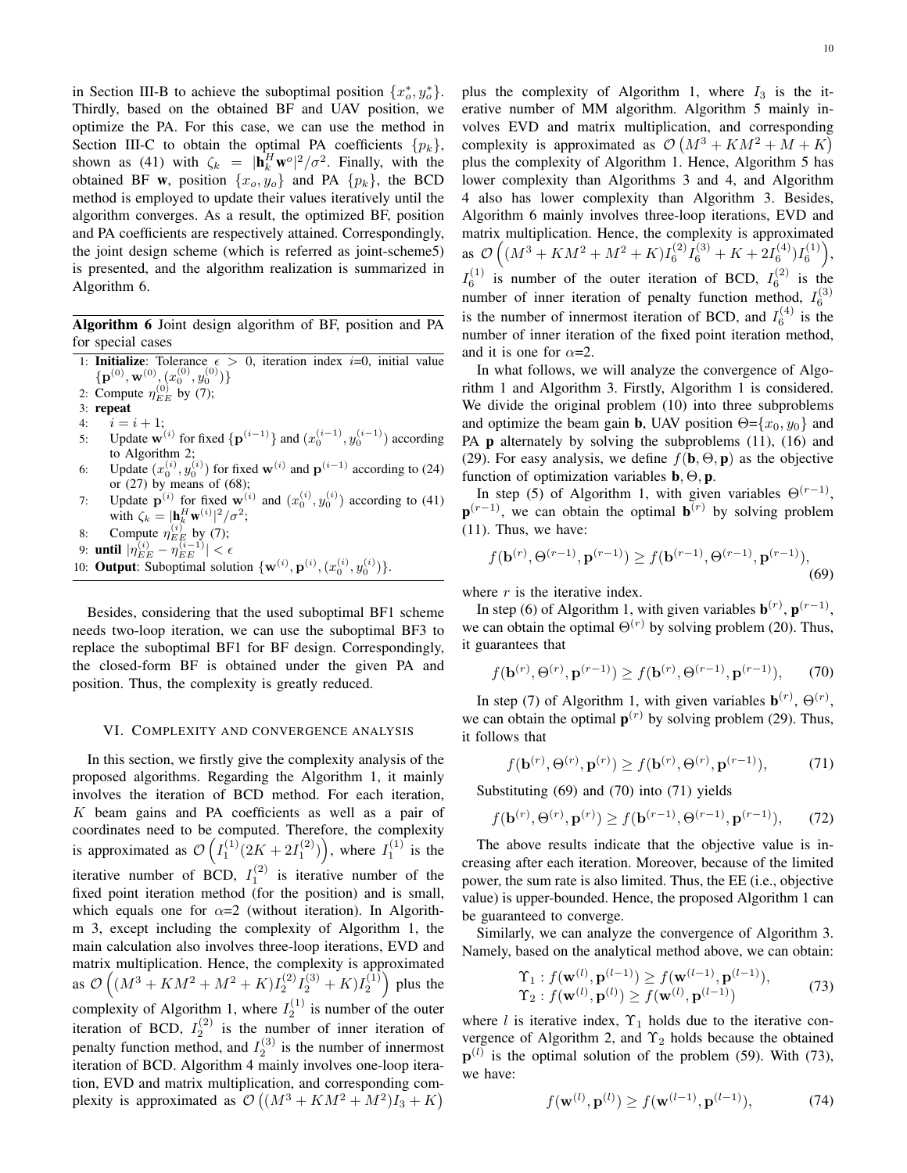in Section III-B to achieve the suboptimal position  $\{x_o^*, y_o^*\}$ . Thirdly, based on the obtained BF and UAV position, we optimize the PA. For this case, we can use the method in Section III-C to obtain the optimal PA coefficients  $\{p_k\}$ , shown as (41) with  $\zeta_k = |\mathbf{h}_k^H \mathbf{w}^{\circ}|^2 / \sigma^2$ . Finally, with the obtained BF **w**, position  $\{x_o, y_o\}$  and PA  $\{p_k\}$ , the BCD method is employed to update their values iteratively until the algorithm converges. As a result, the optimized BF, position and PA coefficients are respectively attained. Correspondingly, the joint design scheme (which is referred as joint-scheme5) is presented, and the algorithm realization is summarized in Algorithm 6.

Algorithm 6 Joint design algorithm of BF, position and PA for special cases

- 1: **Initialize**: Tolerance  $\epsilon > 0$ , iteration index *i*=0, initial value  $\{{\bf p}^{(0)},{\bf w}^{(0)},(x_0^{(0)},y_0^{(0)})\}$
- 2: Compute  $\eta_{EE}^{(0)}$  by (7);
- 3: repeat
- 4:  $i = i + 1;$
- 5: Update **w**<sup>(*i*)</sup> for fixed  $\{p^{(i-1)}\}$  and  $(x_0^{(i-1)}, y_0^{(i-1)})$  according to Algorithm 2;
- 6: Update  $(x_0^{(i)}, y_0^{(i)})$  for fixed **w**<sup>(*i*)</sup> and  $\mathbf{p}^{(i-1)}$  according to (24) or  $(27)$  by means of  $(68)$ ;
- 7: Update  $\mathbf{p}^{(i)}$  for fixed  $\mathbf{w}^{(i)}$  and  $(x_0^{(i)}, y_0^{(i)})$  according to (41) with  $\zeta_k = |\mathbf{h}_k^H \mathbf{w}^{(i)}|^2 / \sigma^2;$
- 8: Compute  $\eta_{EE}^{(i)}$  by (7);
- 9: **until**  $|\eta_{EE}^{(i)} \eta_{EE}^{(i-1)}| < \epsilon$
- 10: **Output:** Suboptimal solution  $\{\mathbf{w}^{(i)}, \mathbf{p}^{(i)}, (x_0^{(i)}, y_0^{(i)})\}.$

Besides, considering that the used suboptimal BF1 scheme needs two-loop iteration, we can use the suboptimal BF3 to replace the suboptimal BF1 for BF design. Correspondingly, the closed-form BF is obtained under the given PA and position. Thus, the complexity is greatly reduced.

#### VI. COMPLEXITY AND CONVERGENCE ANALYSIS

In this section, we firstly give the complexity analysis of the proposed algorithms. Regarding the Algorithm 1, it mainly involves the iteration of BCD method. For each iteration, *K* beam gains and PA coefficients as well as a pair of coordinates need to be computed. Therefore, the complexity is approximated as  $\mathcal{O}\left(I_1^{(1)}(2K+2I_1^{(2)})\right)$ , where  $I_1^{(1)}$  is the iterative number of BCD,  $I_1^{(2)}$  is iterative number of the fixed point iteration method (for the position) and is small, which equals one for  $\alpha=2$  (without iteration). In Algorithm 3, except including the complexity of Algorithm 1, the main calculation also involves three-loop iterations, EVD and matrix multiplication. Hence, the complexity is approximated as  $\mathcal{O}\left((M^3 + KM^2 + M^2 + K)I_2^{(2)}I_2^{(3)} + K)I_2^{(1)}\right)$  plus the complexity of Algorithm 1, where  $I_2^{(1)}$  is number of the outer iteration of BCD,  $I_2^{(2)}$  is the number of inner iteration of penalty function method, and  $I_2^{(3)}$  is the number of innermost iteration of BCD. Algorithm 4 mainly involves one-loop iteration, EVD and matrix multiplication, and corresponding complexity is approximated as  $\mathcal{O}((M^3 + KM^2 + M^2)I_3 + K)$  plus the complexity of Algorithm 1, where  $I_3$  is the iterative number of MM algorithm. Algorithm 5 mainly involves EVD and matrix multiplication, and corresponding complexity is approximated as  $\mathcal{O}(M^3 + KM^2 + M + K)$ plus the complexity of Algorithm 1. Hence, Algorithm 5 has lower complexity than Algorithms 3 and 4, and Algorithm 4 also has lower complexity than Algorithm 3. Besides, Algorithm 6 mainly involves three-loop iterations, EVD and matrix multiplication. Hence, the complexity is approximated as  $\mathcal{O}\left((M^3 + KM^2 + M^2 + K)I_6^{(2)}I_6^{(3)} + K + 2I_6^{(4)})I_6^{(1)}\right),$  $I_6^{(1)}$  is number of the outer iteration of BCD,  $I_6^{(2)}$  is the number of inner iteration of penalty function method,  $I_6^{(3)}$ is the number of innermost iteration of BCD, and  $I_6^{(4)}$  is the number of inner iteration of the fixed point iteration method, and it is one for  $\alpha = 2$ .

In what follows, we will analyze the convergence of Algorithm 1 and Algorithm 3. Firstly, Algorithm 1 is considered. We divide the original problem (10) into three subproblems and optimize the beam gain **b**, UAV position  $\Theta = \{x_0, y_0\}$  and PA **p** alternately by solving the subproblems (11), (16) and (29). For easy analysis, we define  $f(\mathbf{b}, \Theta, \mathbf{p})$  as the objective function of optimization variables b*,* Θ*,* p.

In step (5) of Algorithm 1, with given variables  $\Theta^{(r-1)}$ , **p**<sup>(*r*−1)</sup>, we can obtain the optimal **b**<sup>(*r*)</sup> by solving problem (11). Thus, we have:

$$
f(\mathbf{b}^{(r)}, \Theta^{(r-1)}, \mathbf{p}^{(r-1)}) \ge f(\mathbf{b}^{(r-1)}, \Theta^{(r-1)}, \mathbf{p}^{(r-1)}),
$$
\n(69)

where *r* is the iterative index.

In step (6) of Algorithm 1, with given variables  $\mathbf{b}^{(r)}$ ,  $\mathbf{p}^{(r-1)}$ , we can obtain the optimal  $\Theta^{(r)}$  by solving problem (20). Thus, it guarantees that

$$
f(\mathbf{b}^{(r)}, \Theta^{(r)}, \mathbf{p}^{(r-1)}) \ge f(\mathbf{b}^{(r)}, \Theta^{(r-1)}, \mathbf{p}^{(r-1)}),
$$
 (70)

In step (7) of Algorithm 1, with given variables  $\mathbf{b}^{(r)}$ ,  $\Theta^{(r)}$ , we can obtain the optimal  $p^{(r)}$  by solving problem (29). Thus, it follows that

$$
f(\mathbf{b}^{(r)}, \Theta^{(r)}, \mathbf{p}^{(r)}) \ge f(\mathbf{b}^{(r)}, \Theta^{(r)}, \mathbf{p}^{(r-1)}),\tag{71}
$$

Substituting (69) and (70) into (71) yields

$$
f(\mathbf{b}^{(r)}, \Theta^{(r)}, \mathbf{p}^{(r)}) \ge f(\mathbf{b}^{(r-1)}, \Theta^{(r-1)}, \mathbf{p}^{(r-1)}), \qquad (72)
$$

The above results indicate that the objective value is increasing after each iteration. Moreover, because of the limited power, the sum rate is also limited. Thus, the EE (i.e., objective value) is upper-bounded. Hence, the proposed Algorithm 1 can be guaranteed to converge.

Similarly, we can analyze the convergence of Algorithm 3. Namely, based on the analytical method above, we can obtain:

$$
\begin{aligned} \Upsilon_1 &: f(\mathbf{w}^{(l)}, \mathbf{p}^{(l-1)}) \ge f(\mathbf{w}^{(l-1)}, \mathbf{p}^{(l-1)}), \\ \Upsilon_2 &: f(\mathbf{w}^{(l)}, \mathbf{p}^{(l)}) \ge f(\mathbf{w}^{(l)}, \mathbf{p}^{(l-1)}) \end{aligned} \tag{73}
$$

where *l* is iterative index,  $\Upsilon_1$  holds due to the iterative convergence of Algorithm 2, and  $\Upsilon_2$  holds because the obtained  $\mathbf{p}^{(l)}$  is the optimal solution of the problem (59). With (73), we have:

$$
f(\mathbf{w}^{(l)}, \mathbf{p}^{(l)}) \ge f(\mathbf{w}^{(l-1)}, \mathbf{p}^{(l-1)}),
$$
 (74)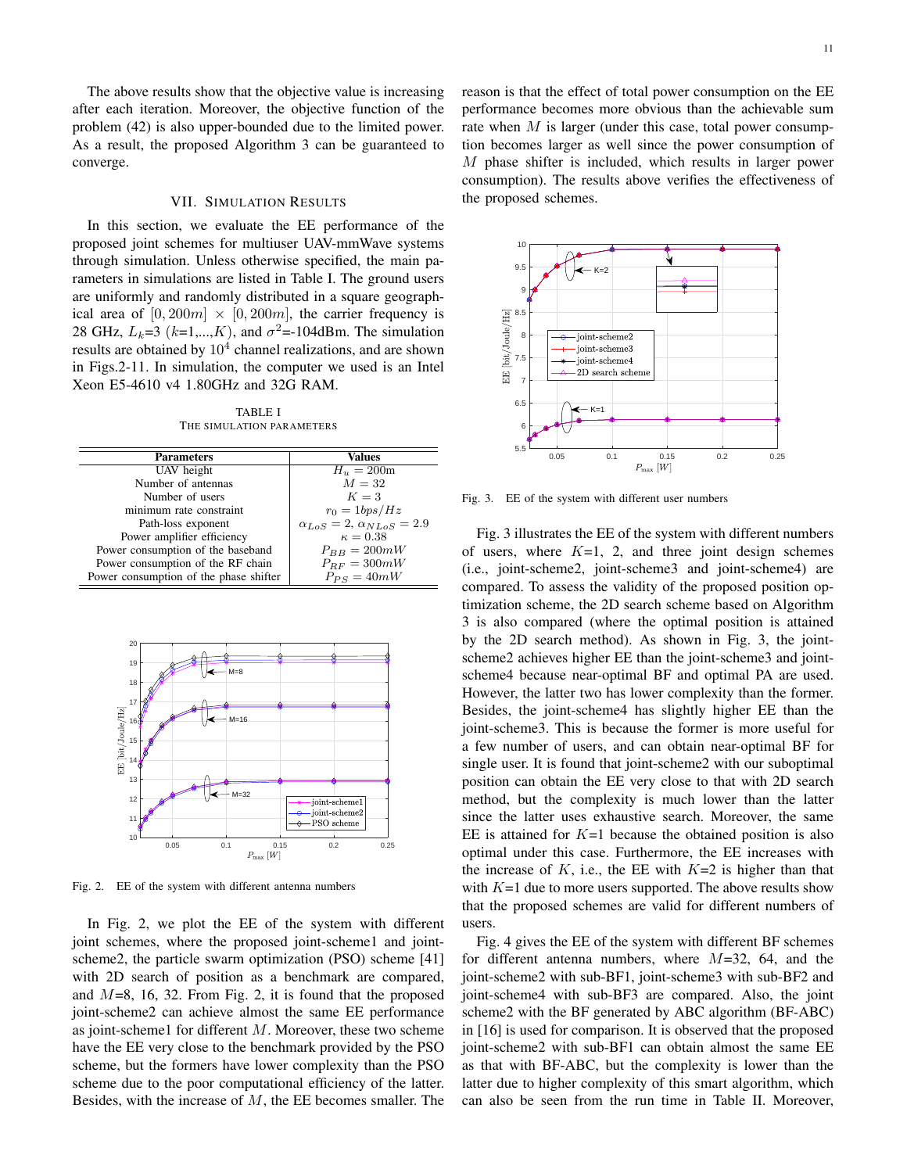The above results show that the objective value is increasing after each iteration. Moreover, the objective function of the problem (42) is also upper-bounded due to the limited power. As a result, the proposed Algorithm 3 can be guaranteed to converge.

## VII. SIMULATION RESULTS

In this section, we evaluate the EE performance of the proposed joint schemes for multiuser UAV-mmWave systems through simulation. Unless otherwise specified, the main parameters in simulations are listed in Table I. The ground users are uniformly and randomly distributed in a square geographical area of  $[0, 200m] \times [0, 200m]$ , the carrier frequency is 28 GHz,  $L_k=3$  ( $k=1,\dots,K$ ), and  $\sigma^2=104$ dBm. The simulation results are obtained by  $10^4$  channel realizations, and are shown in Figs.2-11. In simulation, the computer we used is an Intel Xeon E5-4610 v4 1.80GHz and 32G RAM.

TABLE I THE SIMULATION PARAMETERS

| <b>Values</b>                              |
|--------------------------------------------|
| $H_u = 200m$                               |
| $M=32$                                     |
| $K=3$                                      |
| $r_0 = 1bps/Hz$                            |
| $\alpha_{LoS} = 2$ , $\alpha_{NLoS} = 2.9$ |
| $\kappa = 0.38$                            |
| $P_{BB} = 200mW$                           |
| $P_{RF} = 300mW$                           |
| $P_{PS} = 40mW$                            |
|                                            |



Fig. 2. EE of the system with different antenna numbers

In Fig. 2, we plot the EE of the system with different joint schemes, where the proposed joint-scheme1 and jointscheme2, the particle swarm optimization (PSO) scheme [41] with 2D search of position as a benchmark are compared, and *M*=8, 16, 32. From Fig. 2, it is found that the proposed joint-scheme2 can achieve almost the same EE performance as joint-scheme1 for different *M*. Moreover, these two scheme have the EE very close to the benchmark provided by the PSO scheme, but the formers have lower complexity than the PSO scheme due to the poor computational efficiency of the latter. Besides, with the increase of *M*, the EE becomes smaller. The reason is that the effect of total power consumption on the EE performance becomes more obvious than the achievable sum rate when *M* is larger (under this case, total power consumption becomes larger as well since the power consumption of *M* phase shifter is included, which results in larger power consumption). The results above verifies the effectiveness of the proposed schemes.



Fig. 3. EE of the system with different user numbers

Fig. 3 illustrates the EE of the system with different numbers of users, where  $K=1$ , 2, and three joint design schemes (i.e., joint-scheme2, joint-scheme3 and joint-scheme4) are compared. To assess the validity of the proposed position optimization scheme, the 2D search scheme based on Algorithm 3 is also compared (where the optimal position is attained by the 2D search method). As shown in Fig. 3, the jointscheme2 achieves higher EE than the joint-scheme3 and jointscheme4 because near-optimal BF and optimal PA are used. However, the latter two has lower complexity than the former. Besides, the joint-scheme4 has slightly higher EE than the joint-scheme3. This is because the former is more useful for a few number of users, and can obtain near-optimal BF for single user. It is found that joint-scheme2 with our suboptimal position can obtain the EE very close to that with 2D search method, but the complexity is much lower than the latter since the latter uses exhaustive search. Moreover, the same EE is attained for  $K=1$  because the obtained position is also optimal under this case. Furthermore, the EE increases with the increase of  $K$ , i.e., the EE with  $K=2$  is higher than that with  $K=1$  due to more users supported. The above results show that the proposed schemes are valid for different numbers of users.

Fig. 4 gives the EE of the system with different BF schemes for different antenna numbers, where *M*=32, 64, and the joint-scheme2 with sub-BF1, joint-scheme3 with sub-BF2 and joint-scheme4 with sub-BF3 are compared. Also, the joint scheme2 with the BF generated by ABC algorithm (BF-ABC) in [16] is used for comparison. It is observed that the proposed joint-scheme2 with sub-BF1 can obtain almost the same EE as that with BF-ABC, but the complexity is lower than the latter due to higher complexity of this smart algorithm, which can also be seen from the run time in Table II. Moreover,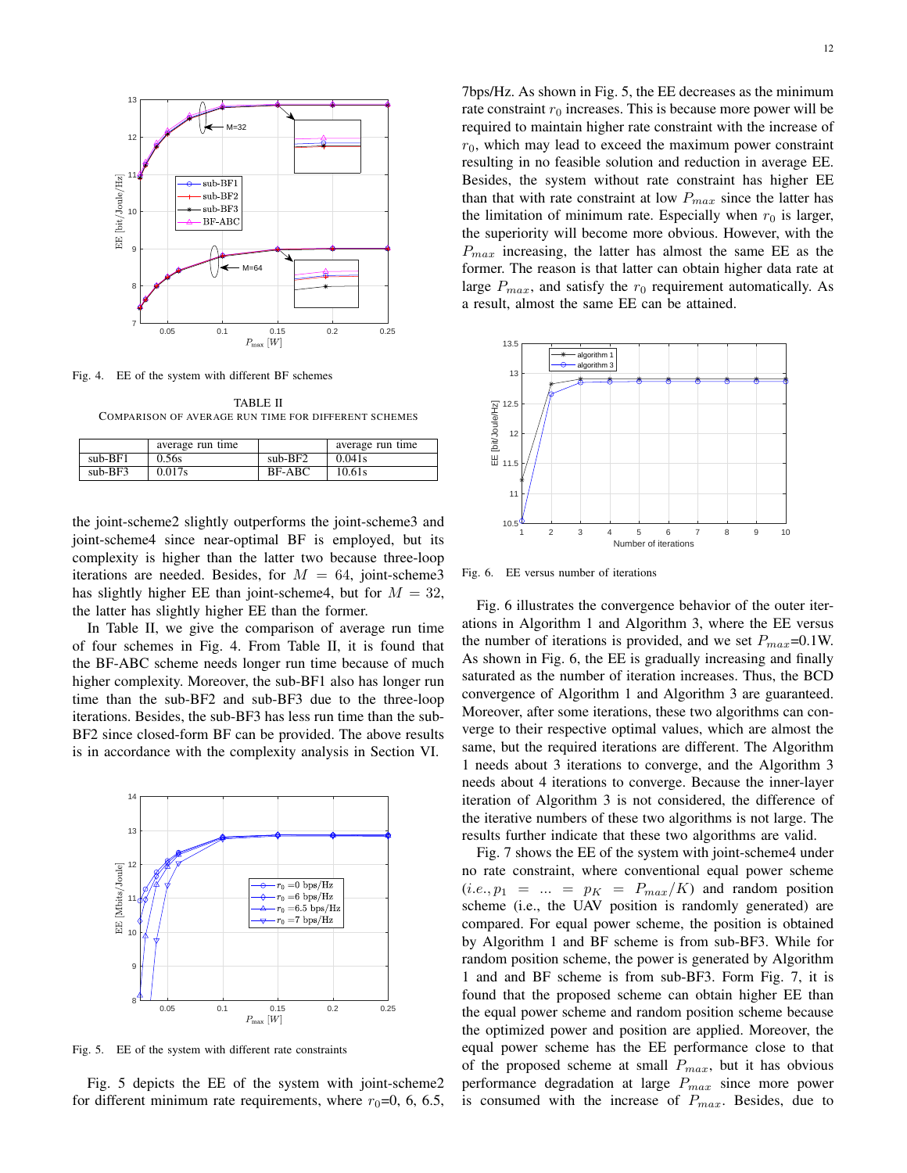

Fig. 4. EE of the system with different BF schemes

TABLE II COMPARISON OF AVERAGE RUN TIME FOR DIFFERENT SCHEMES

|           | average run time |           | average run time |
|-----------|------------------|-----------|------------------|
| $sub-BF1$ | 0.56s            | $sub-BF2$ | 0.041s           |
| $sub-BF3$ | 0.017s           | BF-ABC    | 10.61s           |

the joint-scheme2 slightly outperforms the joint-scheme3 and joint-scheme4 since near-optimal BF is employed, but its complexity is higher than the latter two because three-loop iterations are needed. Besides, for  $M = 64$ , joint-scheme3 has slightly higher EE than joint-scheme4, but for  $M = 32$ , the latter has slightly higher EE than the former.

In Table II, we give the comparison of average run time of four schemes in Fig. 4. From Table II, it is found that the BF-ABC scheme needs longer run time because of much higher complexity. Moreover, the sub-BF1 also has longer run time than the sub-BF2 and sub-BF3 due to the three-loop iterations. Besides, the sub-BF3 has less run time than the sub-BF2 since closed-form BF can be provided. The above results is in accordance with the complexity analysis in Section VI.



Fig. 5. EE of the system with different rate constraints

Fig. 5 depicts the EE of the system with joint-scheme2 for different minimum rate requirements, where  $r_0$ =0, 6, 6.5,

7bps/Hz. As shown in Fig. 5, the EE decreases as the minimum rate constraint  $r_0$  increases. This is because more power will be required to maintain higher rate constraint with the increase of  $r_0$ , which may lead to exceed the maximum power constraint resulting in no feasible solution and reduction in average EE. Besides, the system without rate constraint has higher EE than that with rate constraint at low  $P_{max}$  since the latter has the limitation of minimum rate. Especially when  $r_0$  is larger, the superiority will become more obvious. However, with the *Pmax* increasing, the latter has almost the same EE as the former. The reason is that latter can obtain higher data rate at



large  $P_{max}$ , and satisfy the  $r_0$  requirement automatically. As

a result, almost the same EE can be attained.

Fig. 6. EE versus number of iterations

Fig. 6 illustrates the convergence behavior of the outer iterations in Algorithm 1 and Algorithm 3, where the EE versus the number of iterations is provided, and we set  $P_{max}=0.1W$ . As shown in Fig. 6, the EE is gradually increasing and finally saturated as the number of iteration increases. Thus, the BCD convergence of Algorithm 1 and Algorithm 3 are guaranteed. Moreover, after some iterations, these two algorithms can converge to their respective optimal values, which are almost the same, but the required iterations are different. The Algorithm 1 needs about 3 iterations to converge, and the Algorithm 3 needs about 4 iterations to converge. Because the inner-layer iteration of Algorithm 3 is not considered, the difference of the iterative numbers of these two algorithms is not large. The results further indicate that these two algorithms are valid.

Fig. 7 shows the EE of the system with joint-scheme4 under no rate constraint, where conventional equal power scheme  $(i.e., p_1 = ... = p_K = P_{max}/K)$  and random position scheme (i.e., the UAV position is randomly generated) are compared. For equal power scheme, the position is obtained by Algorithm 1 and BF scheme is from sub-BF3. While for random position scheme, the power is generated by Algorithm 1 and and BF scheme is from sub-BF3. Form Fig. 7, it is found that the proposed scheme can obtain higher EE than the equal power scheme and random position scheme because the optimized power and position are applied. Moreover, the equal power scheme has the EE performance close to that of the proposed scheme at small *Pmax*, but it has obvious performance degradation at large *Pmax* since more power is consumed with the increase of *Pmax*. Besides, due to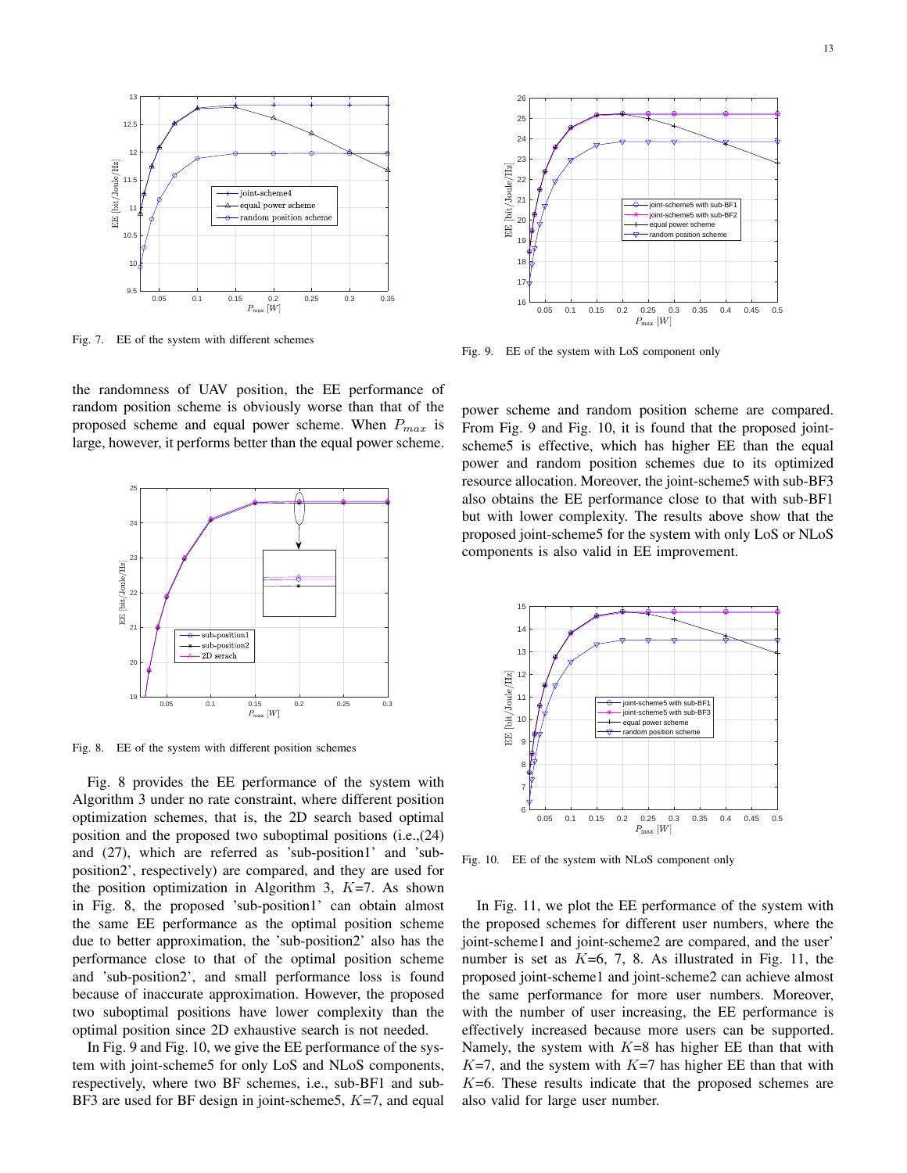

Fig. 7. EE of the system with different schemes

the randomness of UAV position, the EE performance of random position scheme is obviously worse than that of the proposed scheme and equal power scheme. When *Pmax* is large, however, it performs better than the equal power scheme.



Fig. 8. EE of the system with different position schemes

Fig. 8 provides the EE performance of the system with Algorithm 3 under no rate constraint, where different position optimization schemes, that is, the 2D search based optimal position and the proposed two suboptimal positions (i.e.,(24) and (27), which are referred as 'sub-position1' and 'subposition2', respectively) are compared, and they are used for the position optimization in Algorithm 3, *K*=7. As shown in Fig. 8, the proposed 'sub-position1' can obtain almost the same EE performance as the optimal position scheme due to better approximation, the 'sub-position2' also has the performance close to that of the optimal position scheme and 'sub-position2', and small performance loss is found because of inaccurate approximation. However, the proposed two suboptimal positions have lower complexity than the optimal position since 2D exhaustive search is not needed.

In Fig. 9 and Fig. 10, we give the EE performance of the system with joint-scheme5 for only LoS and NLoS components, respectively, where two BF schemes, i.e., sub-BF1 and sub-BF3 are used for BF design in joint-scheme5, *K*=7, and equal



Fig. 9. EE of the system with LoS component only

power scheme and random position scheme are compared. From Fig. 9 and Fig. 10, it is found that the proposed jointscheme5 is effective, which has higher EE than the equal power and random position schemes due to its optimized resource allocation. Moreover, the joint-scheme5 with sub-BF3 also obtains the EE performance close to that with sub-BF1 but with lower complexity. The results above show that the proposed joint-scheme5 for the system with only LoS or NLoS components is also valid in EE improvement.



Fig. 10. EE of the system with NLoS component only

In Fig. 11, we plot the EE performance of the system with the proposed schemes for different user numbers, where the joint-scheme1 and joint-scheme2 are compared, and the user' number is set as *K*=6, 7, 8. As illustrated in Fig. 11, the proposed joint-scheme1 and joint-scheme2 can achieve almost the same performance for more user numbers. Moreover, with the number of user increasing, the EE performance is effectively increased because more users can be supported. Namely, the system with *K*=8 has higher EE than that with  $K=7$ , and the system with  $K=7$  has higher EE than that with *K*=6. These results indicate that the proposed schemes are also valid for large user number.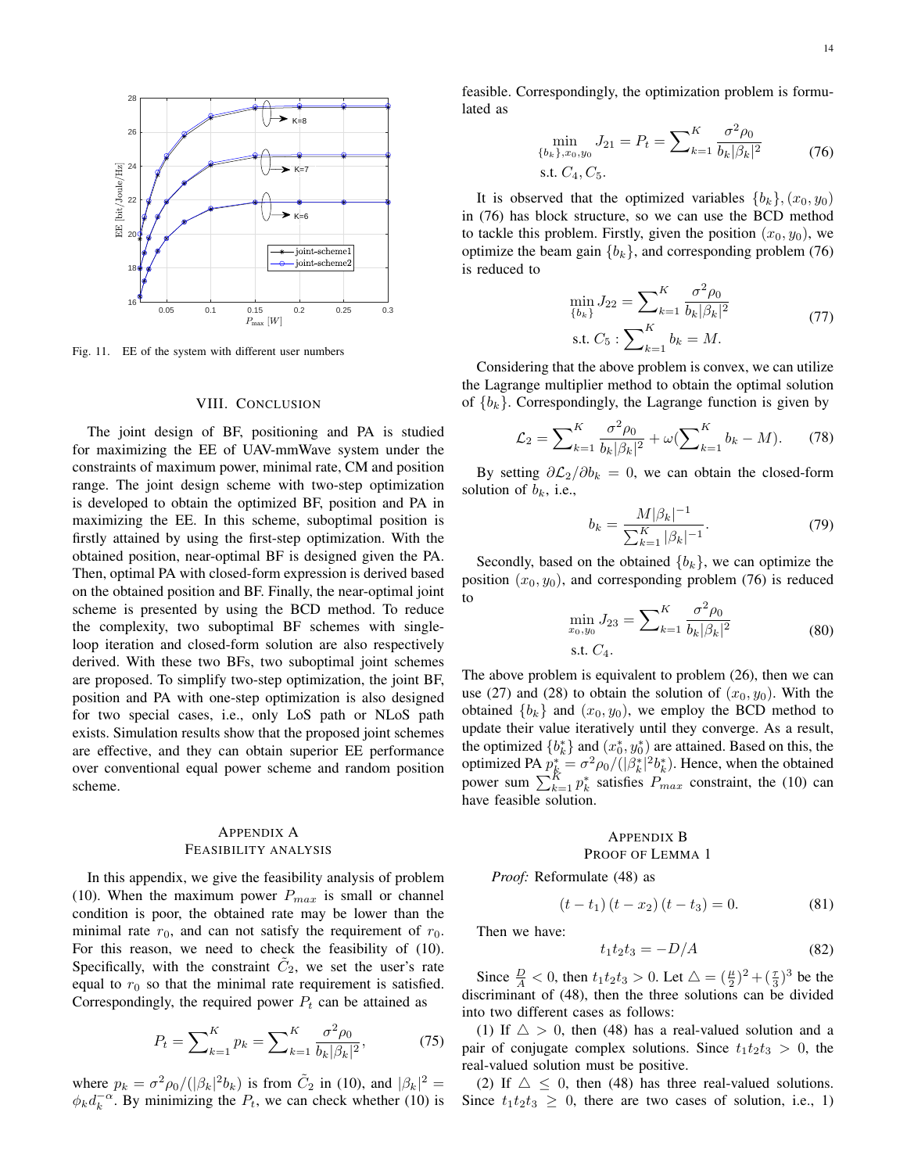

Fig. 11. EE of the system with different user numbers

#### VIII. CONCLUSION

The joint design of BF, positioning and PA is studied for maximizing the EE of UAV-mmWave system under the constraints of maximum power, minimal rate, CM and position range. The joint design scheme with two-step optimization is developed to obtain the optimized BF, position and PA in maximizing the EE. In this scheme, suboptimal position is firstly attained by using the first-step optimization. With the obtained position, near-optimal BF is designed given the PA. Then, optimal PA with closed-form expression is derived based on the obtained position and BF. Finally, the near-optimal joint scheme is presented by using the BCD method. To reduce the complexity, two suboptimal BF schemes with singleloop iteration and closed-form solution are also respectively derived. With these two BFs, two suboptimal joint schemes are proposed. To simplify two-step optimization, the joint BF, position and PA with one-step optimization is also designed for two special cases, i.e., only LoS path or NLoS path exists. Simulation results show that the proposed joint schemes are effective, and they can obtain superior EE performance over conventional equal power scheme and random position scheme.

## APPENDIX A FEASIBILITY ANALYSIS

In this appendix, we give the feasibility analysis of problem (10). When the maximum power  $P_{max}$  is small or channel condition is poor, the obtained rate may be lower than the minimal rate  $r_0$ , and can not satisfy the requirement of  $r_0$ . For this reason, we need to check the feasibility of (10). Specifically, with the constraint  $\tilde{C}_2$ , we set the user's rate equal to  $r_0$  so that the minimal rate requirement is satisfied. Correspondingly, the required power  $P_t$  can be attained as

$$
P_t = \sum_{k=1}^{K} p_k = \sum_{k=1}^{K} \frac{\sigma^2 \rho_0}{b_k |\beta_k|^2},\tag{75}
$$

where  $p_k = \frac{\sigma^2 \rho_0}{(\vert \beta_k \vert^2 b_k)}$  is from  $\tilde{C}_2$  in (10), and  $\vert \beta_k \vert^2 =$  $\phi_k d_k^{-\alpha}$ . By minimizing the  $P_t$ , we can check whether (10) is feasible. Correspondingly, the optimization problem is formulated as

$$
\min_{\{b_k\}, x_0, y_0} J_{21} = P_t = \sum_{k=1}^K \frac{\sigma^2 \rho_0}{b_k |\beta_k|^2}
$$
\n5.1.  $C_4, C_5$ .

It is observed that the optimized variables  ${b_k}$ ,  $(x_0, y_0)$ in (76) has block structure, so we can use the BCD method to tackle this problem. Firstly, given the position  $(x_0, y_0)$ , we optimize the beam gain  ${b_k}$ , and corresponding problem (76) is reduced to

$$
\min_{\{b_k\}} J_{22} = \sum_{k=1}^{K} \frac{\sigma^2 \rho_0}{b_k |\beta_k|^2}
$$
\n
$$
\text{s.t. } C_5: \sum_{k=1}^{K} b_k = M. \tag{77}
$$

Considering that the above problem is convex, we can utilize the Lagrange multiplier method to obtain the optimal solution of  ${b_k}$ . Correspondingly, the Lagrange function is given by

$$
\mathcal{L}_2 = \sum_{k=1}^K \frac{\sigma^2 \rho_0}{b_k |\beta_k|^2} + \omega (\sum_{k=1}^K b_k - M). \tag{78}
$$

By setting  $\partial \mathcal{L}_2 / \partial b_k = 0$ , we can obtain the closed-form solution of  $b_k$ , i.e.,

$$
b_k = \frac{M|\beta_k|^{-1}}{\sum_{k=1}^K |\beta_k|^{-1}}.\tag{79}
$$

Secondly, based on the obtained  ${b_k}$ , we can optimize the position  $(x_0, y_0)$ , and corresponding problem (76) is reduced to

$$
\min_{x_0, y_0} J_{23} = \sum_{k=1}^{K} \frac{\sigma^2 \rho_0}{b_k |\beta_k|^2}
$$
\ns.t. C<sub>4</sub>.

\n(80)

The above problem is equivalent to problem (26), then we can use (27) and (28) to obtain the solution of  $(x_0, y_0)$ . With the obtained  ${b_k}$  and  $(x_0, y_0)$ , we employ the BCD method to update their value iteratively until they converge. As a result, the optimized  ${b<sub>k</sub><sup>*</sup>}$  and  $(x<sub>0</sub><sup>*</sup>, y<sub>0</sub><sup>*</sup>)$  are attained. Based on this, the optimized PA  $p_k^* = \frac{\sigma^2 \rho_0}{(\vert \beta_k^* \vert^2 b_k^*)}$ . Hence, when the obtained power sum  $\sum_{k=1}^{K} p_k^*$  satisfies  $P_{max}$  constraint, the (10) can have feasible solution.

# APPENDIX B

## PROOF OF LEMMA 1

*Proof:* Reformulate (48) as

$$
(t - t_1) (t - x_2) (t - t_3) = 0.
$$
 (81)

Then we have:

$$
t_1 t_2 t_3 = -D/A \tag{82}
$$

Since  $\frac{D}{A} < 0$ , then  $t_1 t_2 t_3 > 0$ . Let  $\triangle = (\frac{\mu}{2})^2 + (\frac{\tau}{3})^3$  be the discriminant of (48), then the three solutions can be divided into two different cases as follows:

(1) If  $\triangle > 0$ , then (48) has a real-valued solution and a pair of conjugate complex solutions. Since  $t_1t_2t_3 > 0$ , the real-valued solution must be positive.

(2) If  $\triangle \leq 0$ , then (48) has three real-valued solutions. Since  $t_1t_2t_3 \geq 0$ , there are two cases of solution, i.e., 1)